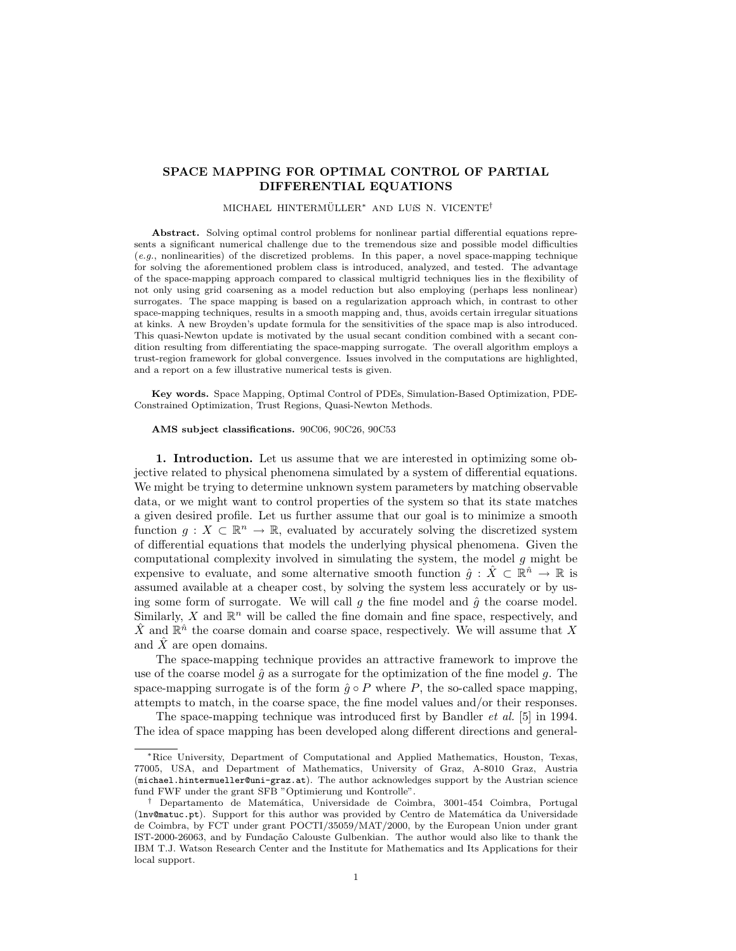# SPACE MAPPING FOR OPTIMAL CONTROL OF PARTIAL DIFFERENTIAL EQUATIONS

### MICHAEL HINTERMÜLLER<sup>\*</sup> AND LUÍS N. VICENTE<sup>†</sup>

Abstract. Solving optimal control problems for nonlinear partial differential equations represents a significant numerical challenge due to the tremendous size and possible model difficulties (e.g., nonlinearities) of the discretized problems. In this paper, a novel space-mapping technique for solving the aforementioned problem class is introduced, analyzed, and tested. The advantage of the space-mapping approach compared to classical multigrid techniques lies in the flexibility of not only using grid coarsening as a model reduction but also employing (perhaps less nonlinear) surrogates. The space mapping is based on a regularization approach which, in contrast to other space-mapping techniques, results in a smooth mapping and, thus, avoids certain irregular situations at kinks. A new Broyden's update formula for the sensitivities of the space map is also introduced. This quasi-Newton update is motivated by the usual secant condition combined with a secant condition resulting from differentiating the space-mapping surrogate. The overall algorithm employs a trust-region framework for global convergence. Issues involved in the computations are highlighted, and a report on a few illustrative numerical tests is given.

Key words. Space Mapping, Optimal Control of PDEs, Simulation-Based Optimization, PDE-Constrained Optimization, Trust Regions, Quasi-Newton Methods.

#### AMS subject classifications. 90C06, 90C26, 90C53

1. Introduction. Let us assume that we are interested in optimizing some objective related to physical phenomena simulated by a system of differential equations. We might be trying to determine unknown system parameters by matching observable data, or we might want to control properties of the system so that its state matches a given desired profile. Let us further assume that our goal is to minimize a smooth function  $g: X \subset \mathbb{R}^n \to \mathbb{R}$ , evaluated by accurately solving the discretized system of differential equations that models the underlying physical phenomena. Given the computational complexity involved in simulating the system, the model  $g$  might be expensive to evaluate, and some alternative smooth function  $\hat{g}$  :  $\hat{X} \subset \mathbb{R}^{\hat{n}} \to \mathbb{R}$  is assumed available at a cheaper cost, by solving the system less accurately or by using some form of surrogate. We will call g the fine model and  $\hat{g}$  the coarse model. Similarly,  $X$  and  $\mathbb{R}^n$  will be called the fine domain and fine space, respectively, and  $\hat{X}$  and  $\mathbb{R}^{\hat{n}}$  the coarse domain and coarse space, respectively. We will assume that X and  $\hat{X}$  are open domains.

The space-mapping technique provides an attractive framework to improve the use of the coarse model  $\hat{g}$  as a surrogate for the optimization of the fine model g. The space-mapping surrogate is of the form  $\hat{g} \circ P$  where P, the so-called space mapping, attempts to match, in the coarse space, the fine model values and/or their responses.

The space-mapping technique was introduced first by Bandler *et al.* [5] in 1994. The idea of space mapping has been developed along different directions and general-

<sup>∗</sup>Rice University, Department of Computational and Applied Mathematics, Houston, Texas, 77005, USA, and Department of Mathematics, University of Graz, A-8010 Graz, Austria (michael.hintermueller@uni-graz.at). The author acknowledges support by the Austrian science fund FWF under the grant SFB "Optimierung und Kontrolle".

<sup>†</sup> Departamento de Matem´atica, Universidade de Coimbra, 3001-454 Coimbra, Portugal (lnv@matuc.pt). Support for this author was provided by Centro de Matem´atica da Universidade de Coimbra, by FCT under grant POCTI/35059/MAT/2000, by the European Union under grant IST-2000-26063, and by Fundação Calouste Gulbenkian. The author would also like to thank the IBM T.J. Watson Research Center and the Institute for Mathematics and Its Applications for their local support.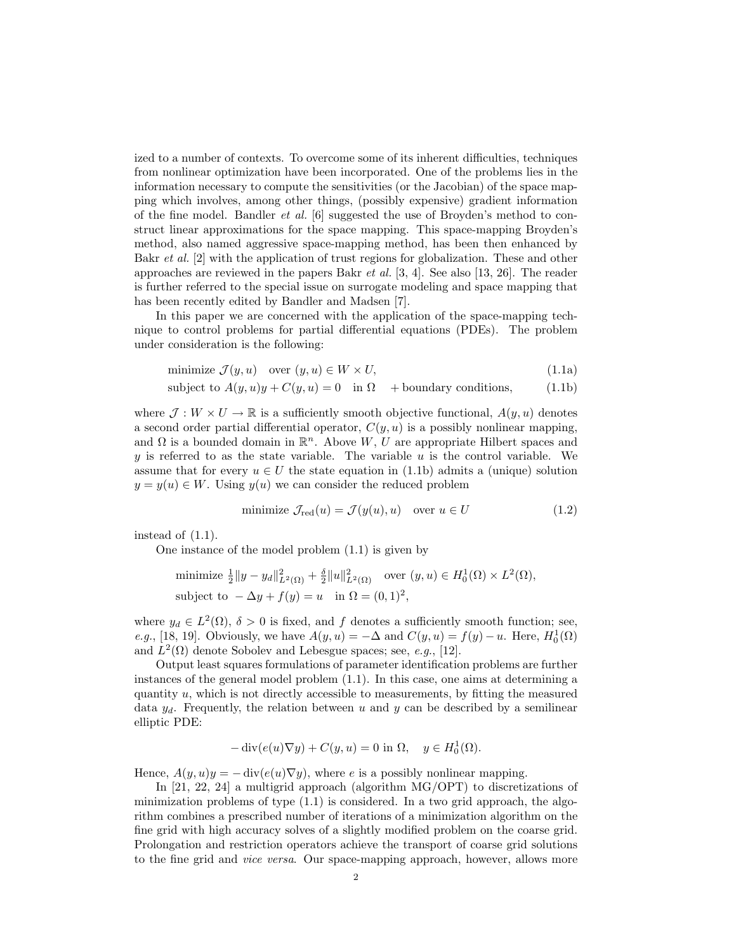ized to a number of contexts. To overcome some of its inherent difficulties, techniques from nonlinear optimization have been incorporated. One of the problems lies in the information necessary to compute the sensitivities (or the Jacobian) of the space mapping which involves, among other things, (possibly expensive) gradient information of the fine model. Bandler *et al.* [6] suggested the use of Broyden's method to construct linear approximations for the space mapping. This space-mapping Broyden's method, also named aggressive space-mapping method, has been then enhanced by Bakr *et al.* [2] with the application of trust regions for globalization. These and other approaches are reviewed in the papers Bakr et al. [3, 4]. See also [13, 26]. The reader is further referred to the special issue on surrogate modeling and space mapping that has been recently edited by Bandler and Madsen [7].

In this paper we are concerned with the application of the space-mapping technique to control problems for partial differential equations (PDEs). The problem under consideration is the following:

$$
\text{minimize } \mathcal{J}(y, u) \quad \text{over } (y, u) \in W \times U,\tag{1.1a}
$$

subject to 
$$
A(y, u)y + C(y, u) = 0
$$
 in  $\Omega$  + boundary conditions, (1.1b)

where  $\mathcal{J}: W \times U \to \mathbb{R}$  is a sufficiently smooth objective functional,  $A(y, u)$  denotes a second order partial differential operator,  $C(y, u)$  is a possibly nonlinear mapping, and  $\Omega$  is a bounded domain in  $\mathbb{R}^n$ . Above W, U are appropriate Hilbert spaces and y is referred to as the state variable. The variable  $u$  is the control variable. We assume that for every  $u \in U$  the state equation in (1.1b) admits a (unique) solution  $y = y(u) \in W$ . Using  $y(u)$  we can consider the reduced problem

$$
\text{minimize } \mathcal{J}_{\text{red}}(u) = \mathcal{J}(y(u), u) \quad \text{over } u \in U \tag{1.2}
$$

instead of (1.1).

One instance of the model problem (1.1) is given by

minimize 
$$
\frac{1}{2} ||y - y_d||^2_{L^2(\Omega)} + \frac{\delta}{2} ||u||^2_{L^2(\Omega)}
$$
 over  $(y, u) \in H_0^1(\Omega) \times L^2(\Omega)$ ,  
subject to  $-\Delta y + f(y) = u$  in  $\Omega = (0, 1)^2$ ,

where  $y_d \in L^2(\Omega)$ ,  $\delta > 0$  is fixed, and f denotes a sufficiently smooth function; see, e.g., [18, 19]. Obviously, we have  $A(y, u) = -\Delta$  and  $C(y, u) = f(y) - u$ . Here,  $H_0^1(\Omega)$ and  $L^2(\Omega)$  denote Sobolev and Lebesgue spaces; see, e.g., [12].

Output least squares formulations of parameter identification problems are further instances of the general model problem (1.1). In this case, one aims at determining a quantity  $u$ , which is not directly accessible to measurements, by fitting the measured data  $y_d$ . Frequently, the relation between u and y can be described by a semilinear elliptic PDE:

$$
-\operatorname{div}(e(u)\nabla y) + C(y, u) = 0 \text{ in } \Omega, \quad y \in H_0^1(\Omega).
$$

Hence,  $A(y, u)y = -\text{div}(e(u)\nabla y)$ , where e is a possibly nonlinear mapping.

In [21, 22, 24] a multigrid approach (algorithm MG/OPT) to discretizations of minimization problems of type  $(1.1)$  is considered. In a two grid approach, the algorithm combines a prescribed number of iterations of a minimization algorithm on the fine grid with high accuracy solves of a slightly modified problem on the coarse grid. Prolongation and restriction operators achieve the transport of coarse grid solutions to the fine grid and *vice versa*. Our space-mapping approach, however, allows more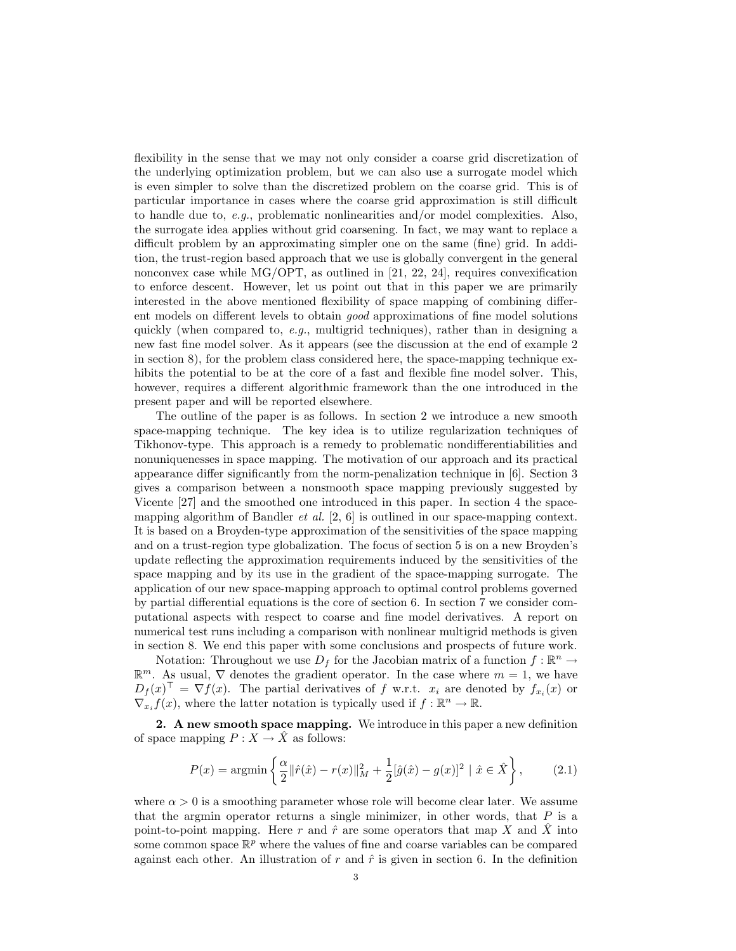flexibility in the sense that we may not only consider a coarse grid discretization of the underlying optimization problem, but we can also use a surrogate model which is even simpler to solve than the discretized problem on the coarse grid. This is of particular importance in cases where the coarse grid approximation is still difficult to handle due to, e.g., problematic nonlinearities and/or model complexities. Also, the surrogate idea applies without grid coarsening. In fact, we may want to replace a difficult problem by an approximating simpler one on the same (fine) grid. In addition, the trust-region based approach that we use is globally convergent in the general nonconvex case while  $MG/OPT$ , as outlined in [21, 22, 24], requires convexification to enforce descent. However, let us point out that in this paper we are primarily interested in the above mentioned flexibility of space mapping of combining different models on different levels to obtain good approximations of fine model solutions quickly (when compared to, e.g., multigrid techniques), rather than in designing a new fast fine model solver. As it appears (see the discussion at the end of example 2 in section 8), for the problem class considered here, the space-mapping technique exhibits the potential to be at the core of a fast and flexible fine model solver. This, however, requires a different algorithmic framework than the one introduced in the present paper and will be reported elsewhere.

The outline of the paper is as follows. In section 2 we introduce a new smooth space-mapping technique. The key idea is to utilize regularization techniques of Tikhonov-type. This approach is a remedy to problematic nondifferentiabilities and nonuniquenesses in space mapping. The motivation of our approach and its practical appearance differ significantly from the norm-penalization technique in [6]. Section 3 gives a comparison between a nonsmooth space mapping previously suggested by Vicente [27] and the smoothed one introduced in this paper. In section 4 the spacemapping algorithm of Bandler *et al.* [2, 6] is outlined in our space-mapping context. It is based on a Broyden-type approximation of the sensitivities of the space mapping and on a trust-region type globalization. The focus of section 5 is on a new Broyden's update reflecting the approximation requirements induced by the sensitivities of the space mapping and by its use in the gradient of the space-mapping surrogate. The application of our new space-mapping approach to optimal control problems governed by partial differential equations is the core of section 6. In section 7 we consider computational aspects with respect to coarse and fine model derivatives. A report on numerical test runs including a comparison with nonlinear multigrid methods is given in section 8. We end this paper with some conclusions and prospects of future work.

Notation: Throughout we use  $D_f$  for the Jacobian matrix of a function  $f : \mathbb{R}^n \to$  $\mathbb{R}^m$ . As usual,  $\nabla$  denotes the gradient operator. In the case where  $m = 1$ , we have  $D_f(x)^\top = \nabla f(x)$ . The partial derivatives of f w.r.t.  $x_i$  are denoted by  $f_{x_i}(x)$  or  $\nabla_{x_i} f(x)$ , where the latter notation is typically used if  $f : \mathbb{R}^n \to \mathbb{R}$ .

2. A new smooth space mapping. We introduce in this paper a new definition of space mapping  $P: X \to \hat{X}$  as follows:

$$
P(x) = \operatorname{argmin}\left\{ \frac{\alpha}{2} ||\hat{r}(\hat{x}) - r(x)||_{M}^{2} + \frac{1}{2} [\hat{g}(\hat{x}) - g(x)]^{2} \mid \hat{x} \in \hat{X} \right\},
$$
 (2.1)

where  $\alpha > 0$  is a smoothing parameter whose role will become clear later. We assume that the argmin operator returns a single minimizer, in other words, that  $P$  is a point-to-point mapping. Here r and  $\hat{r}$  are some operators that map X and  $\hat{X}$  into some common space  $\mathbb{R}^p$  where the values of fine and coarse variables can be compared against each other. An illustration of r and  $\hat{r}$  is given in section 6. In the definition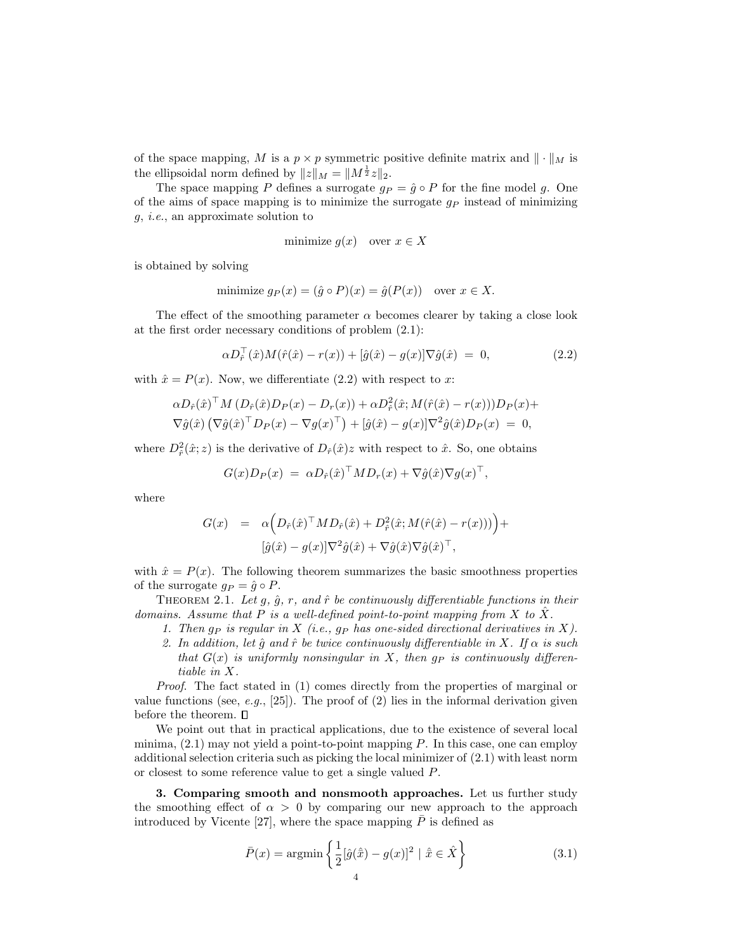of the space mapping, M is a  $p \times p$  symmetric positive definite matrix and  $\|\cdot\|_M$  is the ellipsoidal norm defined by  $||z||_M = ||M^{\frac{1}{2}}z||_2$ .

The space mapping P defines a surrogate  $g_P = \hat{g} \circ P$  for the fine model g. One of the aims of space mapping is to minimize the surrogate  $g_P$  instead of minimizing g, i.e., an approximate solution to

$$
minimize g(x) \quad over \ x \in X
$$

is obtained by solving

minimize 
$$
g_P(x) = (\hat{g} \circ P)(x) = \hat{g}(P(x))
$$
 over  $x \in X$ .

The effect of the smoothing parameter  $\alpha$  becomes clearer by taking a close look at the first order necessary conditions of problem (2.1):

$$
\alpha D_{\hat{r}}^{\top}(\hat{x}) M(\hat{r}(\hat{x}) - r(x)) + [\hat{g}(\hat{x}) - g(x)] \nabla \hat{g}(\hat{x}) = 0, \qquad (2.2)
$$

with  $\hat{x} = P(x)$ . Now, we differentiate (2.2) with respect to x:

$$
\alpha D_{\hat{r}}(\hat{x})^{\top} M (D_{\hat{r}}(\hat{x}) D_P(x) - D_r(x)) + \alpha D_{\hat{r}}^2(\hat{x}; M(\hat{r}(\hat{x}) - r(x))) D_P(x) +
$$
  

$$
\nabla \hat{g}(\hat{x}) (\nabla \hat{g}(\hat{x})^{\top} D_P(x) - \nabla g(x)^{\top}) + [\hat{g}(\hat{x}) - g(x)] \nabla^2 \hat{g}(\hat{x}) D_P(x) = 0,
$$

where  $D^2_{\hat{r}}(\hat{x}; z)$  is the derivative of  $D_{\hat{r}}(\hat{x})z$  with respect to  $\hat{x}$ . So, one obtains

$$
G(x)D_P(x) = \alpha D_{\hat{r}}(\hat{x})^{\top} M D_r(x) + \nabla \hat{g}(\hat{x}) \nabla g(x)^{\top},
$$

where

$$
G(x) = \alpha \Big( D_{\hat{r}}(\hat{x})^{\top} M D_{\hat{r}}(\hat{x}) + D_{\hat{r}}^2(\hat{x}; M(\hat{r}(\hat{x}) - r(x))) \Big) +
$$
  

$$
[\hat{g}(\hat{x}) - g(x)] \nabla^2 \hat{g}(\hat{x}) + \nabla \hat{g}(\hat{x}) \nabla \hat{g}(\hat{x})^{\top},
$$

with  $\hat{x} = P(x)$ . The following theorem summarizes the basic smoothness properties of the surrogate  $q_P = \hat{q} \circ P$ .

THEOREM 2.1. Let  $g$ ,  $\hat{g}$ ,  $r$ , and  $\hat{r}$  be continuously differentiable functions in their domains. Assume that  $P$  is a well-defined point-to-point mapping from  $X$  to  $X$ .

- 1. Then  $g_P$  is regular in X (i.e.,  $g_P$  has one-sided directional derivatives in X).
- 2. In addition, let  $\hat{q}$  and  $\hat{r}$  be twice continuously differentiable in X. If  $\alpha$  is such that  $G(x)$  is uniformly nonsingular in X, then  $g_P$  is continuously differentiable in X.

Proof. The fact stated in (1) comes directly from the properties of marginal or value functions (see, e.g., [25]). The proof of (2) lies in the informal derivation given before the theorem.  $\Box$ 

We point out that in practical applications, due to the existence of several local minima,  $(2.1)$  may not yield a point-to-point mapping P. In this case, one can employ additional selection criteria such as picking the local minimizer of (2.1) with least norm or closest to some reference value to get a single valued P.

3. Comparing smooth and nonsmooth approaches. Let us further study the smoothing effect of  $\alpha > 0$  by comparing our new approach to the approach introduced by Vicente [27], where the space mapping  $\overline{P}$  is defined as

$$
\bar{P}(x) = \operatorname{argmin} \left\{ \frac{1}{2} [\hat{g}(\hat{\bar{x}}) - g(x)]^2 \mid \hat{\bar{x}} \in \hat{X} \right\}
$$
\n(3.1)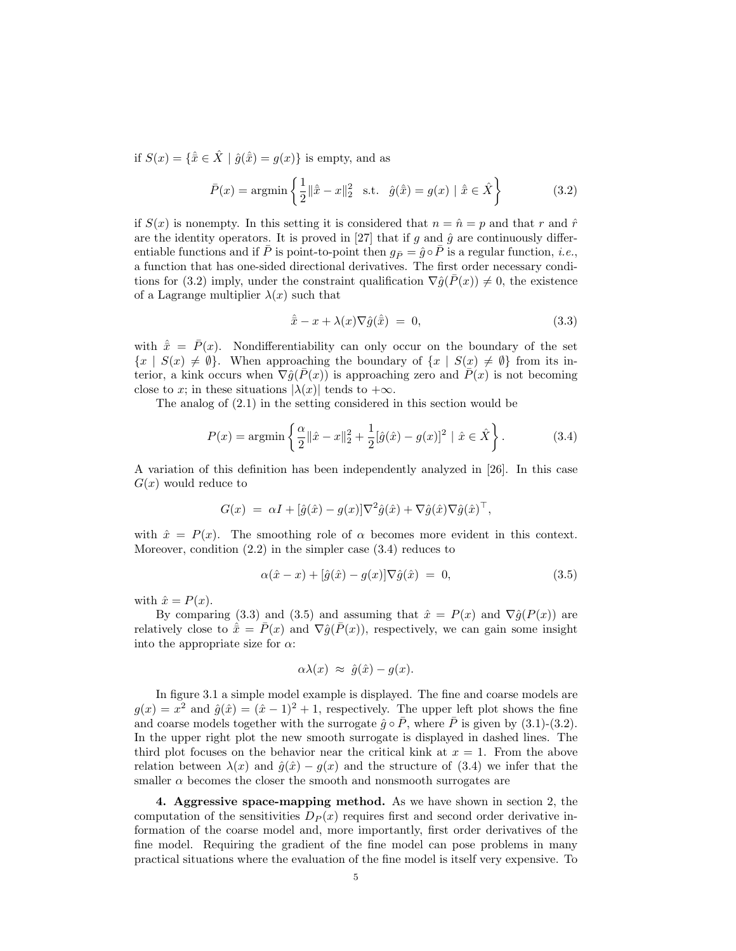if  $S(x) = {\hat{x} \in \hat{X} \mid \hat{g}(\hat{x}) = g(x)}$  is empty, and as

$$
\bar{P}(x) = \operatorname{argmin} \left\{ \frac{1}{2} ||\hat{x} - x||_2^2 \quad \text{s.t.} \quad \hat{g}(\hat{\bar{x}}) = g(x) \mid \hat{\bar{x}} \in \hat{X} \right\}
$$
(3.2)

if  $S(x)$  is nonempty. In this setting it is considered that  $n = \hat{n} = p$  and that r and  $\hat{r}$ are the identity operators. It is proved in [27] that if g and  $\hat{g}$  are continuously differentiable functions and if  $\bar{P}$  is point-to-point then  $g_{\bar{P}} = \hat{g} \circ \bar{P}$  is a regular function, *i.e.*, a function that has one-sided directional derivatives. The first order necessary conditions for (3.2) imply, under the constraint qualification  $\nabla \hat{q}(\bar{P}(x)) \neq 0$ , the existence of a Lagrange multiplier  $\lambda(x)$  such that

$$
\hat{\bar{x}} - x + \lambda(x)\nabla\hat{g}(\hat{\bar{x}}) = 0, \tag{3.3}
$$

with  $\hat{\bar{x}} = \bar{P}(x)$ . Nondifferentiability can only occur on the boundary of the set  ${x \mid S(x) \neq \emptyset}$ . When approaching the boundary of  ${x \mid S(x) \neq \emptyset}$  from its interior, a kink occurs when  $\nabla \hat{g}(\overline{P}(x))$  is approaching zero and  $\overline{P}(x)$  is not becoming close to x; in these situations  $|\lambda(x)|$  tends to  $+\infty$ .

The analog of (2.1) in the setting considered in this section would be

$$
P(x) = \operatorname{argmin} \left\{ \frac{\alpha}{2} ||\hat{x} - x||_2^2 + \frac{1}{2} [\hat{g}(\hat{x}) - g(x)]^2 \mid \hat{x} \in \hat{X} \right\}.
$$
 (3.4)

A variation of this definition has been independently analyzed in [26]. In this case  $G(x)$  would reduce to

$$
G(x) = \alpha I + [\hat{g}(\hat{x}) - g(x)]\nabla^2 \hat{g}(\hat{x}) + \nabla \hat{g}(\hat{x})\nabla \hat{g}(\hat{x})^\top,
$$

with  $\hat{x} = P(x)$ . The smoothing role of  $\alpha$  becomes more evident in this context. Moreover, condition (2.2) in the simpler case (3.4) reduces to

$$
\alpha(\hat{x} - x) + [\hat{g}(\hat{x}) - g(x)]\nabla \hat{g}(\hat{x}) = 0, \qquad (3.5)
$$

with  $\hat{x} = P(x)$ .

By comparing (3.3) and (3.5) and assuming that  $\hat{x} = P(x)$  and  $\nabla \hat{g}(P(x))$  are relatively close to  $\hat{\bar{x}} = \bar{P}(x)$  and  $\nabla \hat{g}(\bar{P}(x))$ , respectively, we can gain some insight into the appropriate size for  $\alpha$ :

$$
\alpha\lambda(x) \approx \hat{g}(\hat{x}) - g(x).
$$

In figure 3.1 a simple model example is displayed. The fine and coarse models are  $g(x) = x^2$  and  $\hat{g}(\hat{x}) = (\hat{x} - 1)^2 + 1$ , respectively. The upper left plot shows the fine and coarse models together with the surrogate  $\hat{g} \circ \overline{P}$ , where  $\overline{P}$  is given by (3.1)-(3.2). In the upper right plot the new smooth surrogate is displayed in dashed lines. The third plot focuses on the behavior near the critical kink at  $x = 1$ . From the above relation between  $\lambda(x)$  and  $\hat{g}(\hat{x}) - g(x)$  and the structure of (3.4) we infer that the smaller  $\alpha$  becomes the closer the smooth and nonsmooth surrogates are

4. Aggressive space-mapping method. As we have shown in section 2, the computation of the sensitivities  $D_P(x)$  requires first and second order derivative information of the coarse model and, more importantly, first order derivatives of the fine model. Requiring the gradient of the fine model can pose problems in many practical situations where the evaluation of the fine model is itself very expensive. To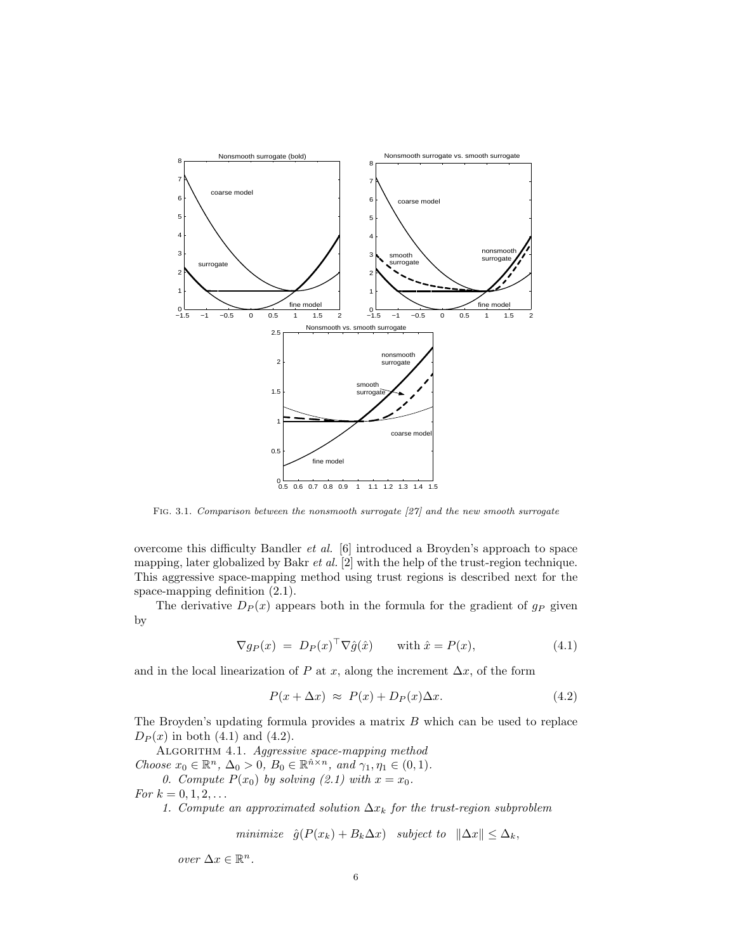

Fig. 3.1. Comparison between the nonsmooth surrogate [27] and the new smooth surrogate

overcome this difficulty Bandler et al. [6] introduced a Broyden's approach to space mapping, later globalized by Bakr  $et$  al.  $[2]$  with the help of the trust-region technique. This aggressive space-mapping method using trust regions is described next for the space-mapping definition (2.1).

The derivative  $D_P(x)$  appears both in the formula for the gradient of  $g_P$  given by

$$
\nabla g_P(x) = D_P(x)^\top \nabla \hat{g}(\hat{x}) \quad \text{with } \hat{x} = P(x), \tag{4.1}
$$

and in the local linearization of P at x, along the increment  $\Delta x$ , of the form

$$
P(x + \Delta x) \approx P(x) + D_P(x)\Delta x.
$$
 (4.2)

The Broyden's updating formula provides a matrix  $B$  which can be used to replace  $D_P(x)$  in both (4.1) and (4.2).

ALGORITHM 4.1. Aggressive space-mapping method Choose  $x_0 \in \mathbb{R}^n$ ,  $\Delta_0 > 0$ ,  $B_0 \in \mathbb{R}^{\hat{n} \times n}$ , and  $\gamma_1, \eta_1 \in (0, 1)$ .

0. Compute  $P(x_0)$  by solving (2.1) with  $x = x_0$ .

For  $k = 0, 1, 2, ...$ 

1. Compute an approximated solution  $\Delta x_k$  for the trust-region subproblem

minimize 
$$
\hat{g}(P(x_k) + B_k \Delta x)
$$
 subject to  $\|\Delta x\| \leq \Delta_k$ ,

over  $\Delta x \in \mathbb{R}^n$ .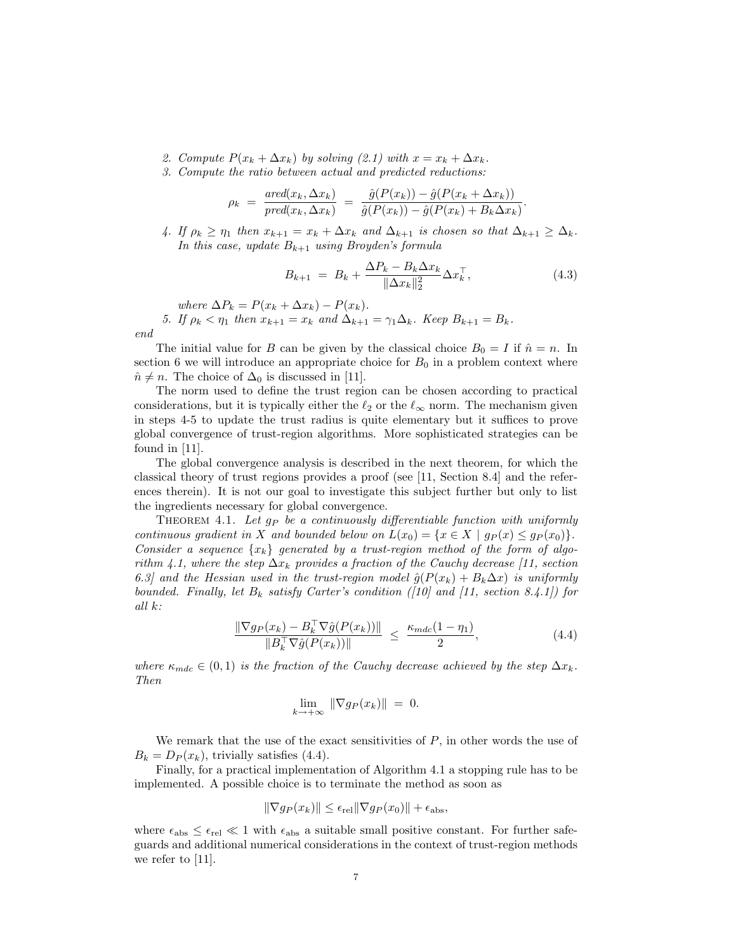- 2. Compute  $P(x_k + \Delta x_k)$  by solving (2.1) with  $x = x_k + \Delta x_k$ .
- 3. Compute the ratio between actual and predicted reductions:

$$
\rho_k = \frac{\text{ared}(x_k, \Delta x_k)}{\text{pred}(x_k, \Delta x_k)} = \frac{\hat{g}(P(x_k)) - \hat{g}(P(x_k + \Delta x_k))}{\hat{g}(P(x_k)) - \hat{g}(P(x_k) + B_k \Delta x_k)}.
$$

4. If  $\rho_k \geq \eta_1$  then  $x_{k+1} = x_k + \Delta x_k$  and  $\Delta_{k+1}$  is chosen so that  $\Delta_{k+1} \geq \Delta_k$ . In this case, update  $B_{k+1}$  using Broyden's formula

$$
B_{k+1} = B_k + \frac{\Delta P_k - B_k \Delta x_k}{\|\Delta x_k\|_2^2} \Delta x_k^{\top},
$$
\n(4.3)

where  $\Delta P_k = P(x_k + \Delta x_k) - P(x_k)$ .

5. If  $\rho_k < \eta_1$  then  $x_{k+1} = x_k$  and  $\Delta_{k+1} = \gamma_1 \Delta_k$ . Keep  $B_{k+1} = B_k$ . end

The initial value for B can be given by the classical choice  $B_0 = I$  if  $\hat{n} = n$ . In section 6 we will introduce an appropriate choice for  $B_0$  in a problem context where  $\hat{n} \neq n$ . The choice of  $\Delta_0$  is discussed in [11].

The norm used to define the trust region can be chosen according to practical considerations, but it is typically either the  $\ell_2$  or the  $\ell_{\infty}$  norm. The mechanism given in steps 4-5 to update the trust radius is quite elementary but it suffices to prove global convergence of trust-region algorithms. More sophisticated strategies can be found in [11].

The global convergence analysis is described in the next theorem, for which the classical theory of trust regions provides a proof (see [11, Section 8.4] and the references therein). It is not our goal to investigate this subject further but only to list the ingredients necessary for global convergence.

THEOREM 4.1. Let  $g_P$  be a continuously differentiable function with uniformly continuous gradient in X and bounded below on  $L(x_0) = \{x \in X \mid g_P(x) \leq g_P(x_0)\}.$ Consider a sequence  $\{x_k\}$  generated by a trust-region method of the form of algorithm 4.1, where the step  $\Delta x_k$  provides a fraction of the Cauchy decrease [11, section 6.3] and the Hessian used in the trust-region model  $\hat{g}(P(x_k) + B_k\Delta x)$  is uniformly bounded. Finally, let  $B_k$  satisfy Carter's condition ([10] and [11, section 8.4.1]) for all k:

$$
\frac{\|\nabla g_P(x_k) - B_k^\top \nabla \hat{g}(P(x_k))\|}{\|B_k^\top \nabla \hat{g}(P(x_k))\|} \le \frac{\kappa_{mdc}(1-\eta_1)}{2},\tag{4.4}
$$

where  $\kappa_{mdc} \in (0,1)$  is the fraction of the Cauchy decrease achieved by the step  $\Delta x_k$ . Then

$$
\lim_{k \to +\infty} \|\nabla g_P(x_k)\| = 0.
$$

We remark that the use of the exact sensitivities of  $P$ , in other words the use of  $B_k = D_P(x_k)$ , trivially satisfies (4.4).

Finally, for a practical implementation of Algorithm 4.1 a stopping rule has to be implemented. A possible choice is to terminate the method as soon as

$$
\|\nabla g_P(x_k)\| \le \epsilon_{\text{rel}} \|\nabla g_P(x_0)\| + \epsilon_{\text{abs}},
$$

where  $\epsilon_{\text{abs}} \leq \epsilon_{\text{rel}} \ll 1$  with  $\epsilon_{\text{abs}}$  a suitable small positive constant. For further safeguards and additional numerical considerations in the context of trust-region methods we refer to [11].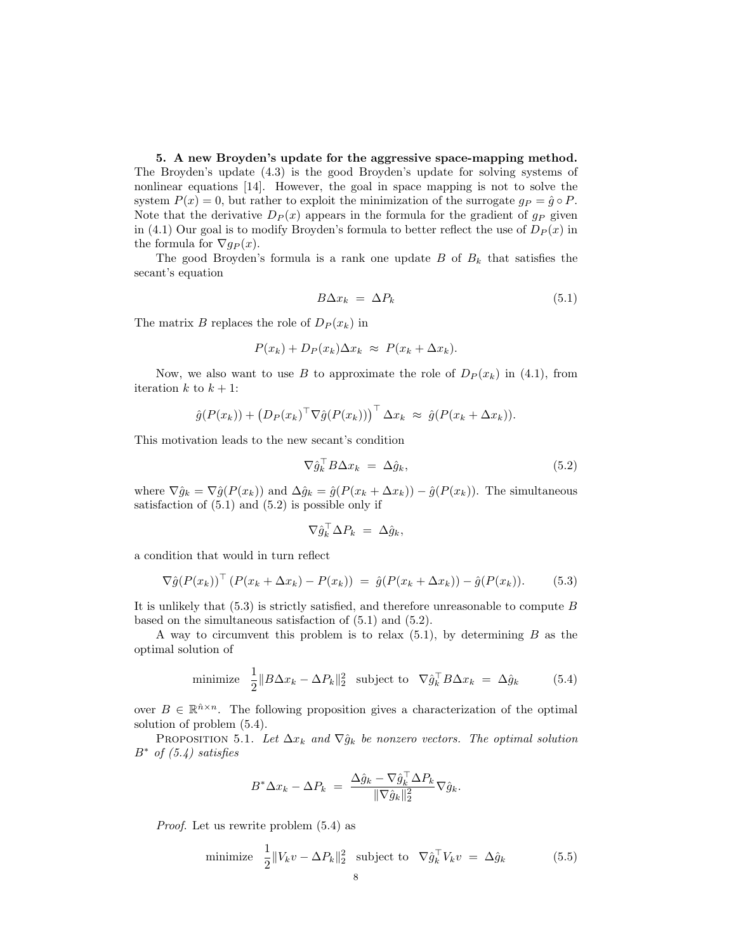5. A new Broyden's update for the aggressive space-mapping method. The Broyden's update (4.3) is the good Broyden's update for solving systems of nonlinear equations [14]. However, the goal in space mapping is not to solve the system  $P(x) = 0$ , but rather to exploit the minimization of the surrogate  $q_P = \hat{q} \circ P$ . Note that the derivative  $D_P(x)$  appears in the formula for the gradient of  $g_P$  given in (4.1) Our goal is to modify Broyden's formula to better reflect the use of  $D<sub>P</sub>(x)$  in the formula for  $\nabla g_P(x)$ .

The good Broyden's formula is a rank one update  $B$  of  $B_k$  that satisfies the secant's equation

$$
B\Delta x_k = \Delta P_k \tag{5.1}
$$

The matrix B replaces the role of  $D_P(x_k)$  in

$$
P(x_k) + D_P(x_k) \Delta x_k \approx P(x_k + \Delta x_k).
$$

Now, we also want to use B to approximate the role of  $D_P(x_k)$  in (4.1), from iteration  $k$  to  $k + 1$ :

$$
\hat{g}(P(x_k)) + (D_P(x_k)^{\top} \nabla \hat{g}(P(x_k)))^{\top} \Delta x_k \approx \hat{g}(P(x_k + \Delta x_k)).
$$

This motivation leads to the new secant's condition

$$
\nabla \hat{g}_k^\top B \Delta x_k = \Delta \hat{g}_k,\tag{5.2}
$$

where  $\nabla \hat{g}_k = \nabla \hat{g}(P(x_k))$  and  $\Delta \hat{g}_k = \hat{g}(P(x_k + \Delta x_k)) - \hat{g}(P(x_k))$ . The simultaneous satisfaction of  $(5.1)$  and  $(5.2)$  is possible only if

$$
\nabla \hat{g}_k^\top \Delta P_k = \Delta \hat{g}_k,
$$

a condition that would in turn reflect

$$
\nabla \hat{g}(P(x_k))^{\top} (P(x_k + \Delta x_k) - P(x_k)) = \hat{g}(P(x_k + \Delta x_k)) - \hat{g}(P(x_k)).
$$
 (5.3)

It is unlikely that  $(5.3)$  is strictly satisfied, and therefore unreasonable to compute B based on the simultaneous satisfaction of (5.1) and (5.2).

A way to circumvent this problem is to relax  $(5.1)$ , by determining B as the optimal solution of

minimize 
$$
\frac{1}{2} ||B\Delta x_k - \Delta P_k||_2^2
$$
 subject to  $\nabla \hat{g}_k^\top B \Delta x_k = \Delta \hat{g}_k$  (5.4)

over  $B \in \mathbb{R}^{\hat{n} \times n}$ . The following proposition gives a characterization of the optimal solution of problem (5.4).

PROPOSITION 5.1. Let  $\Delta x_k$  and  $\nabla \hat{g}_k$  be nonzero vectors. The optimal solution  $B^*$  of  $(5.4)$  satisfies

$$
B^*\Delta x_k - \Delta P_k = \frac{\Delta \hat{g}_k - \nabla \hat{g}_k^\top \Delta P_k}{\|\nabla \hat{g}_k\|_2^2} \nabla \hat{g}_k.
$$

Proof. Let us rewrite problem (5.4) as

minimize 
$$
\frac{1}{2} ||V_k v - \Delta P_k||_2^2
$$
 subject to  $\nabla \hat{g}_k^\top V_k v = \Delta \hat{g}_k$  (5.5)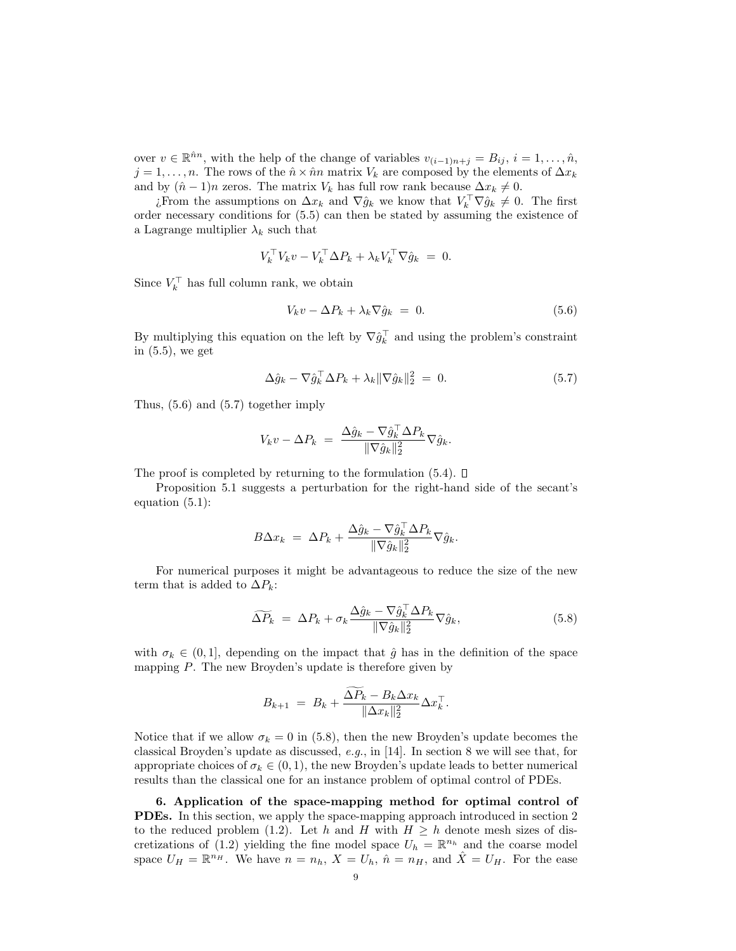over  $v \in \mathbb{R}^{\hat{n}n}$ , with the help of the change of variables  $v_{(i-1)n+j} = B_{ij}, i = 1, \ldots, \hat{n}$ ,  $j = 1, \ldots, n$ . The rows of the  $\hat{n} \times \hat{n}n$  matrix  $V_k$  are composed by the elements of  $\Delta x_k$ and by  $(\hat{n} - 1)n$  zeros. The matrix  $V_k$  has full row rank because  $\Delta x_k \neq 0$ .

¿From the assumptions on  $\Delta x_k$  and  $\nabla \hat{g}_k$  we know that  $V_k^{\top} \nabla \hat{g}_k \neq 0$ . The first order necessary conditions for (5.5) can then be stated by assuming the existence of a Lagrange multiplier  $\lambda_k$  such that

$$
V_k^\top V_k v - V_k^\top \Delta P_k + \lambda_k V_k^\top \nabla \hat{g}_k = 0.
$$

Since  $V_k^{\top}$  has full column rank, we obtain

$$
V_k v - \Delta P_k + \lambda_k \nabla \hat{g}_k = 0. \qquad (5.6)
$$

By multiplying this equation on the left by  $\nabla \hat{g}_k^{\top}$  and using the problem's constraint in (5.5), we get

$$
\Delta \hat{g}_k - \nabla \hat{g}_k^{\top} \Delta P_k + \lambda_k \|\nabla \hat{g}_k\|_2^2 = 0. \tag{5.7}
$$

Thus, (5.6) and (5.7) together imply

$$
V_k v - \Delta P_k = \frac{\Delta \hat{g}_k - \nabla \hat{g}_k^\top \Delta P_k}{\|\nabla \hat{g}_k\|_2^2} \nabla \hat{g}_k.
$$

The proof is completed by returning to the formulation  $(5.4)$ .  $\Box$ 

Proposition 5.1 suggests a perturbation for the right-hand side of the secant's equation (5.1):

$$
B\Delta x_k = \Delta P_k + \frac{\Delta \hat{g}_k - \nabla \hat{g}_k^\top \Delta P_k}{\|\nabla \hat{g}_k\|_2^2} \nabla \hat{g}_k.
$$

For numerical purposes it might be advantageous to reduce the size of the new term that is added to  $\Delta P_k$ :

$$
\widetilde{\Delta P_k} = \Delta P_k + \sigma_k \frac{\Delta \hat{g}_k - \nabla \hat{g}_k^\top \Delta P_k}{\|\nabla \hat{g}_k\|_2^2} \nabla \hat{g}_k, \tag{5.8}
$$

with  $\sigma_k \in (0,1]$ , depending on the impact that  $\hat{g}$  has in the definition of the space mapping P. The new Broyden's update is therefore given by

$$
B_{k+1} = B_k + \frac{\widetilde{\Delta P_k} - B_k \Delta x_k}{\|\Delta x_k\|_2^2} \Delta x_k^{\top}.
$$

Notice that if we allow  $\sigma_k = 0$  in (5.8), then the new Broyden's update becomes the classical Broyden's update as discussed, e.g., in [14]. In section 8 we will see that, for appropriate choices of  $\sigma_k \in (0,1)$ , the new Broyden's update leads to better numerical results than the classical one for an instance problem of optimal control of PDEs.

6. Application of the space-mapping method for optimal control of PDEs. In this section, we apply the space-mapping approach introduced in section 2 to the reduced problem (1.2). Let h and H with  $H \ge h$  denote mesh sizes of discretizations of (1.2) yielding the fine model space  $U_h = \mathbb{R}^{n_h}$  and the coarse model space  $U_H = \mathbb{R}^{n_H}$ . We have  $n = n_h$ ,  $X = U_h$ ,  $\hat{n} = n_H$ , and  $\hat{X} = U_H$ . For the ease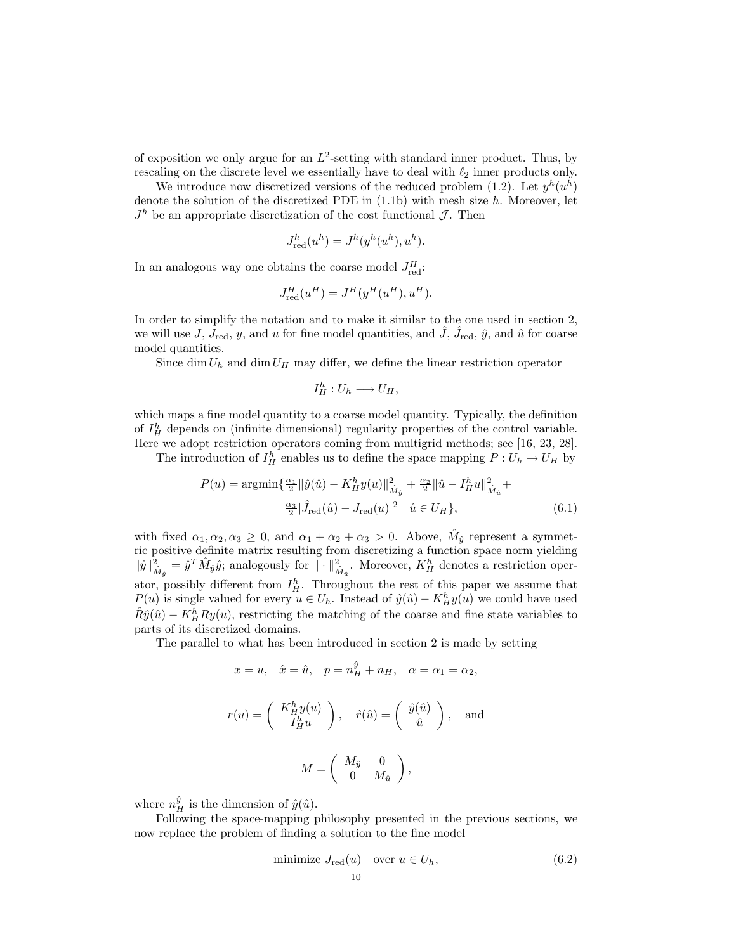of exposition we only argue for an  $L^2$ -setting with standard inner product. Thus, by rescaling on the discrete level we essentially have to deal with  $\ell_2$  inner products only.

We introduce now discretized versions of the reduced problem (1.2). Let  $y^h(u^h)$ denote the solution of the discretized PDE in  $(1.1b)$  with mesh size h. Moreover, let  $J<sup>h</sup>$  be an appropriate discretization of the cost functional  $\mathcal{J}$ . Then

$$
J_{\text{red}}^h(u^h) = J^h(y^h(u^h), u^h).
$$

In an analogous way one obtains the coarse model  $J_{\text{red}}^H$ :

$$
J_{\text{red}}^H(u^H) = J^H(y^H(u^H), u^H).
$$

In order to simplify the notation and to make it similar to the one used in section 2, we will use J,  $J_{\text{red}}$ , y, and u for fine model quantities, and  $\hat{J}$ ,  $\hat{J}_{\text{red}}$ ,  $\hat{y}$ , and  $\hat{u}$  for coarse model quantities.

Since dim  $U_h$  and dim  $U_H$  may differ, we define the linear restriction operator

$$
I_H^h: U_h \longrightarrow U_H,
$$

which maps a fine model quantity to a coarse model quantity. Typically, the definition of  $I_H^h$  depends on (infinite dimensional) regularity properties of the control variable. Here we adopt restriction operators coming from multigrid methods; see [16, 23, 28].

The introduction of  $I_H^h$  enables us to define the space mapping  $P: U_h \to U_H$  by

$$
P(u) = \operatorname{argmin} \{ \frac{\alpha_1}{2} ||\hat{y}(\hat{u}) - K_H^h y(u)||_{\hat{M}_{\hat{y}}}^2 + \frac{\alpha_2}{2} ||\hat{u} - I_H^h u||_{\hat{M}_{\hat{u}}}^2 + \frac{\alpha_3}{2} |\hat{J}_{\text{red}}(\hat{u}) - J_{\text{red}}(u)|^2 \mid \hat{u} \in U_H \},
$$
\n(6.1)

with fixed  $\alpha_1, \alpha_2, \alpha_3 \geq 0$ , and  $\alpha_1 + \alpha_2 + \alpha_3 > 0$ . Above,  $\hat{M}_{\hat{y}}$  represent a symmetric positive definite matrix resulting from discretizing a function space norm yielding  $\|\hat{y}\|^2_{\hat{M}_{\hat{y}}} = \hat{y}^T \hat{M}_{\hat{y}} \hat{y}$ ; analogously for  $\|\cdot\|^2_{\hat{M}_{\hat{u}}}$ . Moreover,  $K_H^h$  denotes a restriction operator, possibly different from  $I_H^h$ . Throughout the rest of this paper we assume that  $P(u)$  is single valued for every  $u \in U_h$ . Instead of  $\hat{y}(\hat{u}) - K_H^h y(u)$  we could have used  $\hat{R}\hat{y}(\hat{u}) - K_H^h R y(u)$ , restricting the matching of the coarse and fine state variables to parts of its discretized domains.

The parallel to what has been introduced in section 2 is made by setting

$$
x = u, \quad \hat{x} = \hat{u}, \quad p = n_H^{\hat{y}} + n_H, \quad \alpha = \alpha_1 = \alpha_2,
$$
  

$$
r(u) = \begin{pmatrix} K_H^h y(u) \\ I_H^h u \end{pmatrix}, \quad \hat{r}(\hat{u}) = \begin{pmatrix} \hat{y}(\hat{u}) \\ \hat{u} \end{pmatrix}, \quad \text{and}
$$
  

$$
M = \begin{pmatrix} M_{\hat{y}} & 0 \\ 0 & M_{\hat{u}} \end{pmatrix},
$$

where  $n_H^{\hat{y}}$  is the dimension of  $\hat{y}(\hat{u})$ .

Following the space-mapping philosophy presented in the previous sections, we now replace the problem of finding a solution to the fine model

minimize 
$$
J_{\text{red}}(u)
$$
 over  $u \in U_h$ ,  $(6.2)$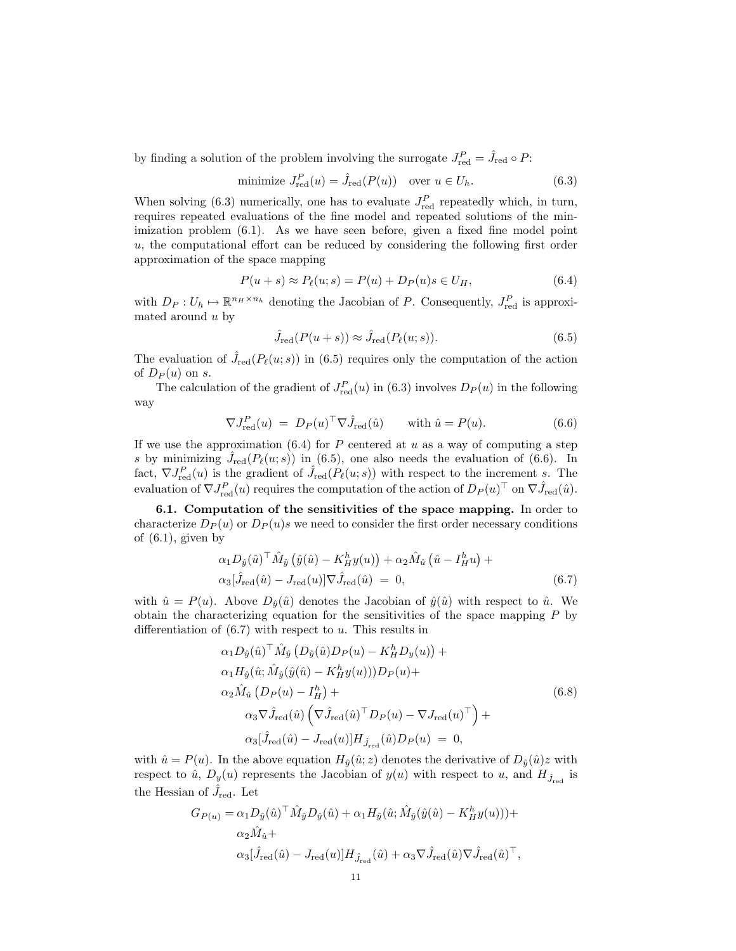by finding a solution of the problem involving the surrogate  $J_{\text{red}}^P = \hat{J}_{\text{red}} \circ P$ :

minimize 
$$
J_{\text{red}}^P(u) = \hat{J}_{\text{red}}(P(u))
$$
 over  $u \in U_h$ . (6.3)

When solving (6.3) numerically, one has to evaluate  $J_{\text{red}}^{P}$  repeatedly which, in turn, requires repeated evaluations of the fine model and repeated solutions of the minimization problem (6.1). As we have seen before, given a fixed fine model point  $u$ , the computational effort can be reduced by considering the following first order approximation of the space mapping

$$
P(u+s) \approx P_{\ell}(u;s) = P(u) + D_P(u)s \in U_H,
$$
\n
$$
(6.4)
$$

with  $D_P: U_h \mapsto \mathbb{R}^{n_H \times n_h}$  denoting the Jacobian of P. Consequently,  $J_{\text{red}}^P$  is approximated around  $u$  by

$$
\hat{J}_{\text{red}}(P(u+s)) \approx \hat{J}_{\text{red}}(P_{\ell}(u;s)).\tag{6.5}
$$

The evaluation of  $\hat{J}_{\text{red}}(P_{\ell}(u; s))$  in (6.5) requires only the computation of the action of  $D_P(u)$  on s.

The calculation of the gradient of  $J_{\text{red}}^P(u)$  in (6.3) involves  $D_P(u)$  in the following way

$$
\nabla J_{\text{red}}^P(u) = D_P(u)^\top \nabla \hat{J}_{\text{red}}(\hat{u}) \quad \text{with } \hat{u} = P(u). \tag{6.6}
$$

If we use the approximation  $(6.4)$  for P centered at u as a way of computing a step s by minimizing  $\hat{J}_{\text{red}}(P_{\ell}(u; s))$  in (6.5), one also needs the evaluation of (6.6). In fact,  $\nabla J_{\text{red}}^P(u)$  is the gradient of  $\hat{J}_{\text{red}}(P_\ell(u; s))$  with respect to the increment s. The evaluation of  $\nabla J_{\text{red}}^P(u)$  requires the computation of the action of  $D_P(u)^\top$  on  $\nabla \hat{J}_{\text{red}}(\hat{u})$ .

6.1. Computation of the sensitivities of the space mapping. In order to characterize  $D_P(u)$  or  $D_P(u)$ s we need to consider the first order necessary conditions of  $(6.1)$ , given by

$$
\alpha_1 D_{\hat{y}}(\hat{u})^\top \hat{M}_{\hat{y}}(\hat{y}(\hat{u}) - K_H^h y(u)) + \alpha_2 \hat{M}_{\hat{u}}(\hat{u} - I_H^h u) + \alpha_3 [\hat{J}_{\text{red}}(\hat{u}) - J_{\text{red}}(u)] \nabla \hat{J}_{\text{red}}(\hat{u}) = 0, \tag{6.7}
$$

with  $\hat{u} = P(u)$ . Above  $D_{\hat{u}}(\hat{u})$  denotes the Jacobian of  $\hat{y}(\hat{u})$  with respect to  $\hat{u}$ . We obtain the characterizing equation for the sensitivities of the space mapping  $P$  by differentiation of  $(6.7)$  with respect to u. This results in

$$
\alpha_1 D_{\hat{y}}(\hat{u})^{\top} \hat{M}_{\hat{y}} \left( D_{\hat{y}}(\hat{u}) D_P(u) - K_H^h D_y(u) \right) +
$$
  
\n
$$
\alpha_1 H_{\hat{y}}(\hat{u}; \hat{M}_{\hat{y}}(\hat{y}(\hat{u}) - K_H^h y(u))) D_P(u) +
$$
  
\n
$$
\alpha_2 \hat{M}_{\hat{u}} \left( D_P(u) - I_H^h \right) +
$$
  
\n
$$
\alpha_3 \nabla \hat{J}_{\text{red}}(\hat{u}) \left( \nabla \hat{J}_{\text{red}}(\hat{u})^{\top} D_P(u) - \nabla J_{\text{red}}(u)^{\top} \right) +
$$
  
\n
$$
\alpha_3 [\hat{J}_{\text{red}}(\hat{u}) - J_{\text{red}}(u)] H_{\hat{J}_{\text{red}}}(\hat{u}) D_P(u) = 0,
$$
\n(6.8)

with  $\hat{u} = P(u)$ . In the above equation  $H_{\hat{y}}(\hat{u}; z)$  denotes the derivative of  $D_{\hat{y}}(\hat{u})z$  with respect to  $\hat{u}$ ,  $D_y(u)$  represents the Jacobian of  $y(u)$  with respect to  $u$ , and  $H_{\hat{J}_{red}}$  is the Hessian of  $\hat{J}_\text{red}$ . Let

$$
G_{P(u)} = \alpha_1 D_{\hat{y}}(\hat{u})^\top \hat{M}_{\hat{y}} D_{\hat{y}}(\hat{u}) + \alpha_1 H_{\hat{y}}(\hat{u}; \hat{M}_{\hat{y}}(\hat{y}(\hat{u}) - K_H^h y(u))) +
$$
  
\n
$$
\alpha_2 \hat{M}_{\hat{u}} +
$$
  
\n
$$
\alpha_3 [\hat{J}_{\text{red}}(\hat{u}) - J_{\text{red}}(u)] H_{\hat{J}_{\text{red}}}(\hat{u}) + \alpha_3 \nabla \hat{J}_{\text{red}}(\hat{u}) \nabla \hat{J}_{\text{red}}(\hat{u})^\top,
$$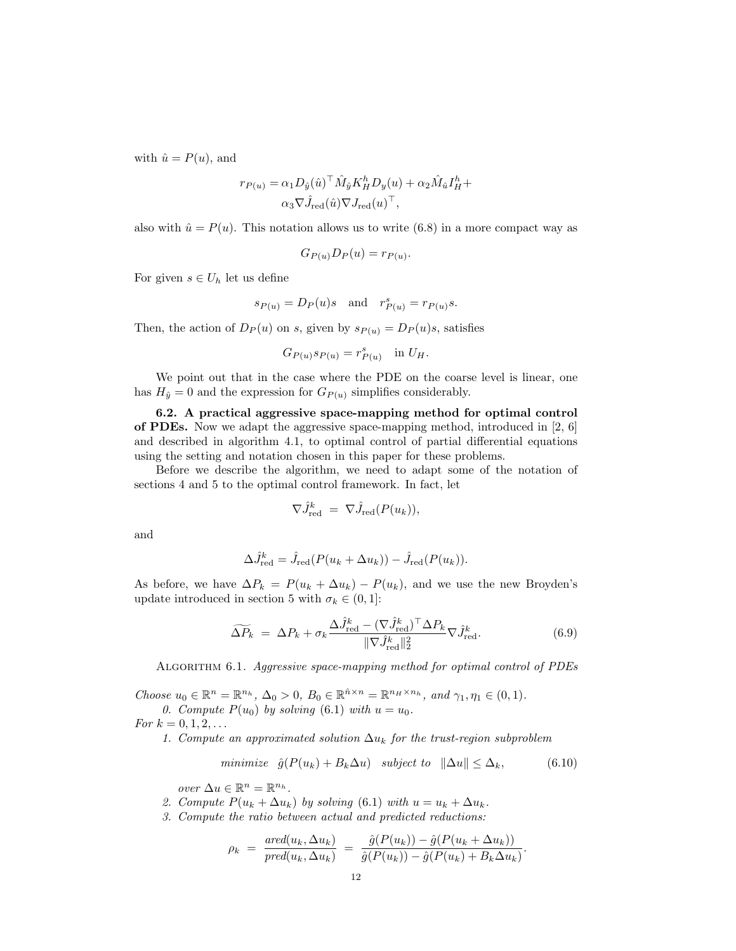with  $\hat{u} = P(u)$ , and

$$
r_{P(u)} = \alpha_1 D_{\hat{y}}(\hat{u})^\top \hat{M}_{\hat{y}} K_H^h D_y(u) + \alpha_2 \hat{M}_{\hat{u}} I_H^h +
$$
  

$$
\alpha_3 \nabla \hat{J}_{\text{red}}(\hat{u}) \nabla J_{\text{red}}(u)^\top,
$$

also with  $\hat{u} = P(u)$ . This notation allows us to write (6.8) in a more compact way as

$$
G_{P(u)}D_P(u) = r_{P(u)}.
$$

For given  $s \in U_h$  let us define

$$
s_{P(u)} = D_P(u)s
$$
 and  $r_{P(u)}^s = r_{P(u)}s$ .

Then, the action of  $D_P(u)$  on s, given by  $s_{P(u)} = D_P(u)s$ , satisfies

$$
G_{P(u)}s_{P(u)} = r_{P(u)}^s \quad \text{in } U_H.
$$

We point out that in the case where the PDE on the coarse level is linear, one has  $H_{\hat{y}} = 0$  and the expression for  $G_{P(u)}$  simplifies considerably.

6.2. A practical aggressive space-mapping method for optimal control of PDEs. Now we adapt the aggressive space-mapping method, introduced in [2, 6] and described in algorithm 4.1, to optimal control of partial differential equations using the setting and notation chosen in this paper for these problems.

Before we describe the algorithm, we need to adapt some of the notation of sections 4 and 5 to the optimal control framework. In fact, let

$$
\nabla \hat{J}_{\text{red}}^k = \nabla \hat{J}_{\text{red}}(P(u_k)),
$$

and

$$
\Delta \hat{J}_{\text{red}}^k = \hat{J}_{\text{red}}(P(u_k + \Delta u_k)) - \hat{J}_{\text{red}}(P(u_k)).
$$

As before, we have  $\Delta P_k = P(u_k + \Delta u_k) - P(u_k)$ , and we use the new Broyden's update introduced in section 5 with  $\sigma_k \in (0,1]$ :

$$
\widetilde{\Delta P}_k = \Delta P_k + \sigma_k \frac{\Delta \hat{J}_{\text{red}}^k - (\nabla \hat{J}_{\text{red}}^k)^{\top} \Delta P_k}{\|\nabla \hat{J}_{\text{red}}^k\|_2^2} \nabla \hat{J}_{\text{red}}^k.
$$
\n(6.9)

ALGORITHM 6.1. Aggressive space-mapping method for optimal control of PDEs

Choose  $u_0 \in \mathbb{R}^n = \mathbb{R}^{n_h}$ ,  $\Delta_0 > 0$ ,  $B_0 \in \mathbb{R}^{\hat{n} \times n} = \mathbb{R}^{n_H \times n_h}$ , and  $\gamma_1, \eta_1 \in (0, 1)$ . 0. Compute  $P(u_0)$  by solving (6.1) with  $u = u_0$ .

For  $k = 0, 1, 2, ...$ 

1. Compute an approximated solution  $\Delta u_k$  for the trust-region subproblem

$$
minimize \quad \hat{g}(P(u_k) + B_k \Delta u) \quad subject \quad t \quad \|\Delta u\| \le \Delta_k,\tag{6.10}
$$

over  $\Delta u \in \mathbb{R}^n = \mathbb{R}^{n_h}$ .

- 2. Compute  $P(u_k + \Delta u_k)$  by solving (6.1) with  $u = u_k + \Delta u_k$ .
- 3. Compute the ratio between actual and predicted reductions:

$$
\rho_k = \frac{\text{ared}(u_k, \Delta u_k)}{\text{pred}(u_k, \Delta u_k)} = \frac{\hat{g}(P(u_k)) - \hat{g}(P(u_k + \Delta u_k))}{\hat{g}(P(u_k)) - \hat{g}(P(u_k) + B_k \Delta u_k)}.
$$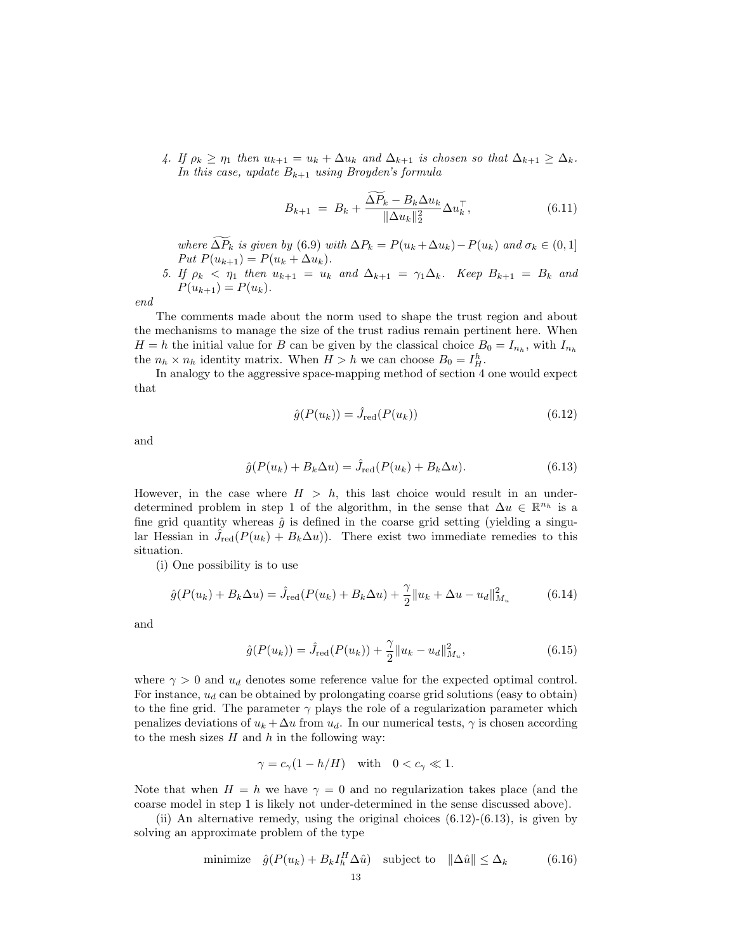4. If  $\rho_k \geq \eta_1$  then  $u_{k+1} = u_k + \Delta u_k$  and  $\Delta_{k+1}$  is chosen so that  $\Delta_{k+1} \geq \Delta_k$ . In this case, update  $B_{k+1}$  using Broyden's formula

$$
B_{k+1} = B_k + \frac{\widetilde{\Delta P_k} - B_k \Delta u_k}{\|\Delta u_k\|_2^2} \Delta u_k^{\top}, \tag{6.11}
$$

where  $\widetilde{\Delta P_k}$  is given by (6.9) with  $\Delta P_k = P(u_k + \Delta u_k) - P(u_k)$  and  $\sigma_k \in (0, 1]$ Put  $P(u_{k+1}) = P(u_k + \Delta u_k)$ .

5. If 
$$
\rho_k < \eta_1
$$
 then  $u_{k+1} = u_k$  and  $\Delta_{k+1} = \gamma_1 \Delta_k$ . Keep  $B_{k+1} = B_k$  and  $P(u_{k+1}) = P(u_k)$ .

end

The comments made about the norm used to shape the trust region and about the mechanisms to manage the size of the trust radius remain pertinent here. When  $H = h$  the initial value for B can be given by the classical choice  $B_0 = I_{n_h}$ , with  $I_{n_h}$ the  $n_h \times n_h$  identity matrix. When  $H > h$  we can choose  $B_0 = I_H^h$ .

In analogy to the aggressive space-mapping method of section 4 one would expect that

$$
\hat{g}(P(u_k)) = \hat{J}_{\text{red}}(P(u_k))\tag{6.12}
$$

and

$$
\hat{g}(P(u_k) + B_k \Delta u) = \hat{J}_{\text{red}}(P(u_k) + B_k \Delta u). \tag{6.13}
$$

However, in the case where  $H > h$ , this last choice would result in an underdetermined problem in step 1 of the algorithm, in the sense that  $\Delta u \in \mathbb{R}^{n_h}$  is a fine grid quantity whereas  $\hat{g}$  is defined in the coarse grid setting (yielding a singular Hessian in  $\hat{J}_{\text{red}}(P(u_k) + B_k \Delta u)$ . There exist two immediate remedies to this situation.

(i) One possibility is to use

$$
\hat{g}(P(u_k) + B_k \Delta u) = \hat{J}_{\text{red}}(P(u_k) + B_k \Delta u) + \frac{\gamma}{2} ||u_k + \Delta u - u_d||_{M_u}^2 \tag{6.14}
$$

and

$$
\hat{g}(P(u_k)) = \hat{J}_{\text{red}}(P(u_k)) + \frac{\gamma}{2} ||u_k - u_d||_{M_u}^2, \qquad (6.15)
$$

where  $\gamma > 0$  and  $u_d$  denotes some reference value for the expected optimal control. For instance,  $u_d$  can be obtained by prolongating coarse grid solutions (easy to obtain) to the fine grid. The parameter  $\gamma$  plays the role of a regularization parameter which penalizes deviations of  $u_k + \Delta u$  from  $u_d$ . In our numerical tests,  $\gamma$  is chosen according to the mesh sizes  $H$  and  $h$  in the following way:

$$
\gamma = c_{\gamma}(1 - h/H) \quad \text{with} \quad 0 < c_{\gamma} \ll 1.
$$

Note that when  $H = h$  we have  $\gamma = 0$  and no regularization takes place (and the coarse model in step 1 is likely not under-determined in the sense discussed above).

(ii) An alternative remedy, using the original choices  $(6.12)-(6.13)$ , is given by solving an approximate problem of the type

minimize 
$$
\hat{g}(P(u_k) + B_k I_h^H \Delta \hat{u})
$$
 subject to  $\|\Delta \hat{u}\| \leq \Delta_k$  (6.16)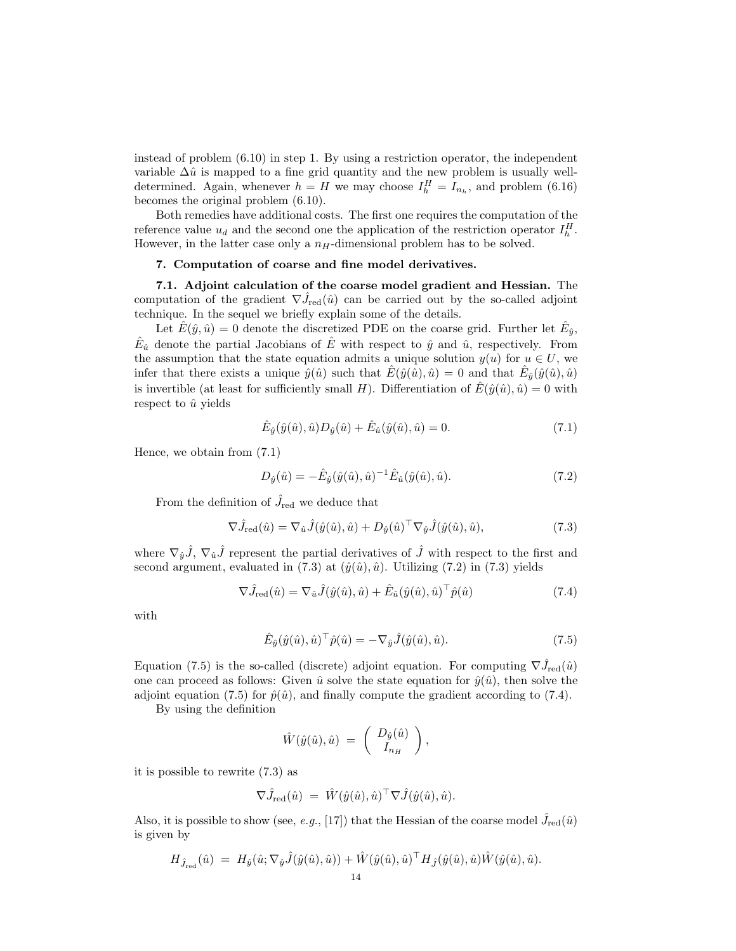instead of problem (6.10) in step 1. By using a restriction operator, the independent variable  $\Delta \hat{u}$  is mapped to a fine grid quantity and the new problem is usually welldetermined. Again, whenever  $h = H$  we may choose  $I_h^H = I_{n_h}$ , and problem (6.16) becomes the original problem (6.10).

Both remedies have additional costs. The first one requires the computation of the reference value  $u_d$  and the second one the application of the restriction operator  $I_h^H$ . However, in the latter case only a  $n_H$ -dimensional problem has to be solved.

## 7. Computation of coarse and fine model derivatives.

7.1. Adjoint calculation of the coarse model gradient and Hessian. The computation of the gradient  $\nabla \hat{J}_{\text{red}}(\hat{u})$  can be carried out by the so-called adjoint technique. In the sequel we briefly explain some of the details.

Let  $\hat{E}(\hat{y}, \hat{u}) = 0$  denote the discretized PDE on the coarse grid. Further let  $\hat{E}_{\hat{y}}$ ,  $\hat{E}_{\hat{u}}$  denote the partial Jacobians of  $\hat{E}$  with respect to  $\hat{y}$  and  $\hat{u}$ , respectively. From the assumption that the state equation admits a unique solution  $y(u)$  for  $u \in U$ , we infer that there exists a unique  $\hat{y}(\hat{u})$  such that  $\hat{E}(\hat{y}(\hat{u}), \hat{u}) = 0$  and that  $\hat{E}_{\hat{y}}(\hat{y}(\hat{u}), \hat{u})$ is invertible (at least for sufficiently small H). Differentiation of  $\hat{E}(\hat{y}(\hat{u}), \hat{u}) = 0$  with respect to  $\hat{u}$  yields

$$
\hat{E}_{\hat{y}}(\hat{y}(\hat{u}), \hat{u})D_{\hat{y}}(\hat{u}) + \hat{E}_{\hat{u}}(\hat{y}(\hat{u}), \hat{u}) = 0.
$$
\n(7.1)

Hence, we obtain from (7.1)

$$
D_{\hat{y}}(\hat{u}) = -\hat{E}_{\hat{y}}(\hat{y}(\hat{u}), \hat{u})^{-1}\hat{E}_{\hat{u}}(\hat{y}(\hat{u}), \hat{u}).
$$
\n(7.2)

From the definition of  $\hat{J}_\text{red}$  we deduce that

Eˆ

$$
\nabla \hat{J}_{\text{red}}(\hat{u}) = \nabla_{\hat{u}} \hat{J}(\hat{y}(\hat{u}), \hat{u}) + D_{\hat{y}}(\hat{u})^{\top} \nabla_{\hat{y}} \hat{J}(\hat{y}(\hat{u}), \hat{u}), \tag{7.3}
$$

where  $\nabla_{\hat{y}}\hat{J}$ ,  $\nabla_{\hat{u}}\hat{J}$  represent the partial derivatives of  $\hat{J}$  with respect to the first and second argument, evaluated in (7.3) at  $(\hat{y}(\hat{u}), \hat{u})$ . Utilizing (7.2) in (7.3) yields

$$
\nabla \hat{J}_{\text{red}}(\hat{u}) = \nabla_{\hat{u}} \hat{J}(\hat{y}(\hat{u}), \hat{u}) + \hat{E}_{\hat{u}}(\hat{y}(\hat{u}), \hat{u})^{\top} \hat{p}(\hat{u})
$$
\n(7.4)

with

$$
\hat{E}_{\hat{y}}(\hat{y}(\hat{u}),\hat{u})^{\top}\hat{p}(\hat{u}) = -\nabla_{\hat{y}}\hat{J}(\hat{y}(\hat{u}),\hat{u}).
$$
\n(7.5)

Equation (7.5) is the so-called (discrete) adjoint equation. For computing  $\nabla \hat{J}_{red}(\hat{u})$ one can proceed as follows: Given  $\hat{u}$  solve the state equation for  $\hat{y}(\hat{u})$ , then solve the adjoint equation (7.5) for  $\hat{p}(\hat{u})$ , and finally compute the gradient according to (7.4).

By using the definition

$$
\hat{W}(\hat{y}(\hat{u}),\hat{u})\;=\;\left(\begin{array}{c}D_{\hat{y}}(\hat{u})\\I_{n_H}\end{array}\right),
$$

it is possible to rewrite (7.3) as

$$
\nabla \hat{J}_{\text{red}}(\hat{u}) \ = \ \hat{W}(\hat{y}(\hat{u}), \hat{u})^{\top} \nabla \hat{J}(\hat{y}(\hat{u}), \hat{u}).
$$

Also, it is possible to show (see, e.g., [17]) that the Hessian of the coarse model  $\hat{J}_{\text{red}}(\hat{u})$ is given by

$$
H_{\hat{J}_{\text{red}}}(\hat{u}) \; = \; H_{\hat{y}}(\hat{u}; \nabla_{\hat{y}} \hat{J}(\hat{y}(\hat{u}), \hat{u})) + \hat{W}(\hat{y}(\hat{u}), \hat{u})^{\top} H_{\hat{J}}(\hat{y}(\hat{u}), \hat{u}) \hat{W}(\hat{y}(\hat{u}), \hat{u}).
$$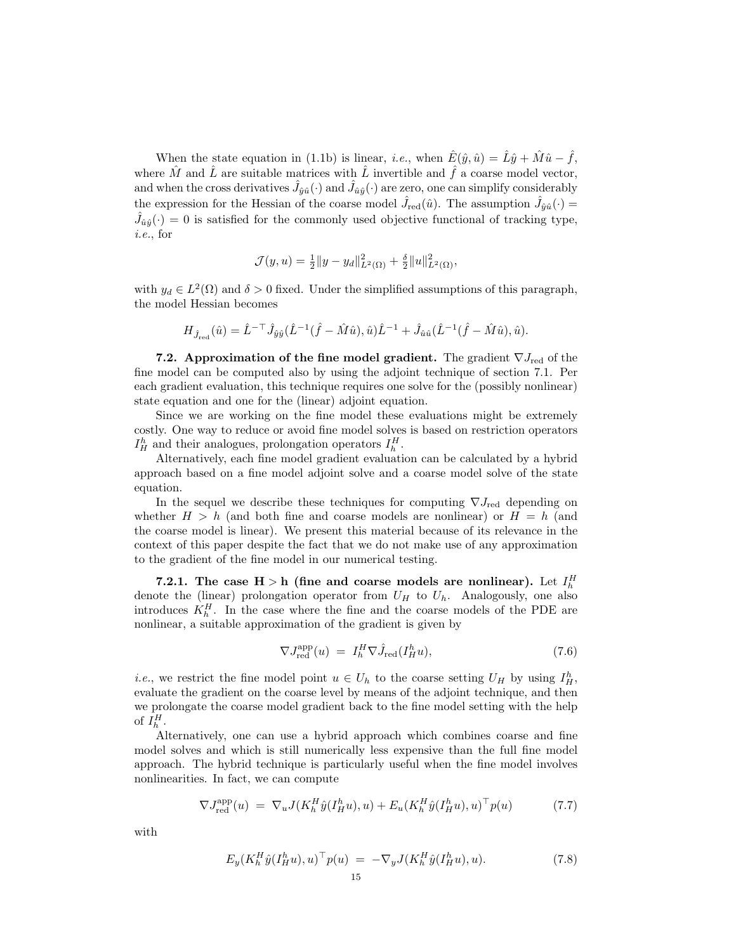When the state equation in (1.1b) is linear, *i.e.*, when  $\hat{E}(\hat{y}, \hat{u}) = \hat{L}\hat{y} + \hat{M}\hat{u} - \hat{f}$ , where  $\hat{M}$  and  $\hat{L}$  are suitable matrices with  $\hat{L}$  invertible and  $\hat{f}$  a coarse model vector, and when the cross derivatives  $\hat{J}_{\hat{y}\hat{u}}(\cdot)$  and  $\hat{J}_{\hat{u}\hat{y}}(\cdot)$  are zero, one can simplify considerably the expression for the Hessian of the coarse model  $\hat{J}_{\text{red}}(\hat{u})$ . The assumption  $\hat{J}_{\hat{y}\hat{u}}(\cdot)$  $\hat{J}_{\hat{u}\hat{y}}(\cdot) = 0$  is satisfied for the commonly used objective functional of tracking type, i.e., for

$$
\mathcal{J}(y, u) = \frac{1}{2} ||y - y_d||^2_{L^2(\Omega)} + \frac{\delta}{2} ||u||^2_{L^2(\Omega)},
$$

with  $y_d \in L^2(\Omega)$  and  $\delta > 0$  fixed. Under the simplified assumptions of this paragraph, the model Hessian becomes

$$
H_{\hat{J}_{\text{red}}}(\hat{u}) = \hat{L}^{-\top} \hat{J}_{\hat{y}\hat{y}} (\hat{L}^{-1}(\hat{f} - \hat{M}\hat{u}), \hat{u}) \hat{L}^{-1} + \hat{J}_{\hat{u}\hat{u}} (\hat{L}^{-1}(\hat{f} - \hat{M}\hat{u}), \hat{u}).
$$

**7.2.** Approximation of the fine model gradient. The gradient  $\nabla J_{\text{red}}$  of the fine model can be computed also by using the adjoint technique of section 7.1. Per each gradient evaluation, this technique requires one solve for the (possibly nonlinear) state equation and one for the (linear) adjoint equation.

Since we are working on the fine model these evaluations might be extremely costly. One way to reduce or avoid fine model solves is based on restriction operators  $I_H^h$  and their analogues, prolongation operators  $I_h^H$ .

Alternatively, each fine model gradient evaluation can be calculated by a hybrid approach based on a fine model adjoint solve and a coarse model solve of the state equation.

In the sequel we describe these techniques for computing  $\nabla J_{\text{red}}$  depending on whether  $H > h$  (and both fine and coarse models are nonlinear) or  $H = h$  (and the coarse model is linear). We present this material because of its relevance in the context of this paper despite the fact that we do not make use of any approximation to the gradient of the fine model in our numerical testing.

7.2.1. The case  $H > h$  (fine and coarse models are nonlinear). Let  $I_h^H$ denote the (linear) prolongation operator from  $U_H$  to  $U_h$ . Analogously, one also introduces  $K_h^H$ . In the case where the fine and the coarse models of the PDE are nonlinear, a suitable approximation of the gradient is given by

$$
\nabla J_{\text{red}}^{\text{app}}(u) = I_h^H \nabla \hat{J}_{\text{red}}(I_H^h u), \tag{7.6}
$$

*i.e.*, we restrict the fine model point  $u \in U_h$  to the coarse setting  $U_H$  by using  $I_H^h$ , evaluate the gradient on the coarse level by means of the adjoint technique, and then we prolongate the coarse model gradient back to the fine model setting with the help of  $I_h^H$ .

Alternatively, one can use a hybrid approach which combines coarse and fine model solves and which is still numerically less expensive than the full fine model approach. The hybrid technique is particularly useful when the fine model involves nonlinearities. In fact, we can compute

$$
\nabla J_{\text{red}}^{\text{app}}(u) = \nabla_u J(K_h^H \hat{y}(I_H^h u), u) + E_u(K_h^H \hat{y}(I_H^h u), u)^\top p(u) \tag{7.7}
$$

with

$$
E_y(K_h^H \hat{y}(I_H^h u), u)^\top p(u) = -\nabla_y J(K_h^H \hat{y}(I_H^h u), u). \tag{7.8}
$$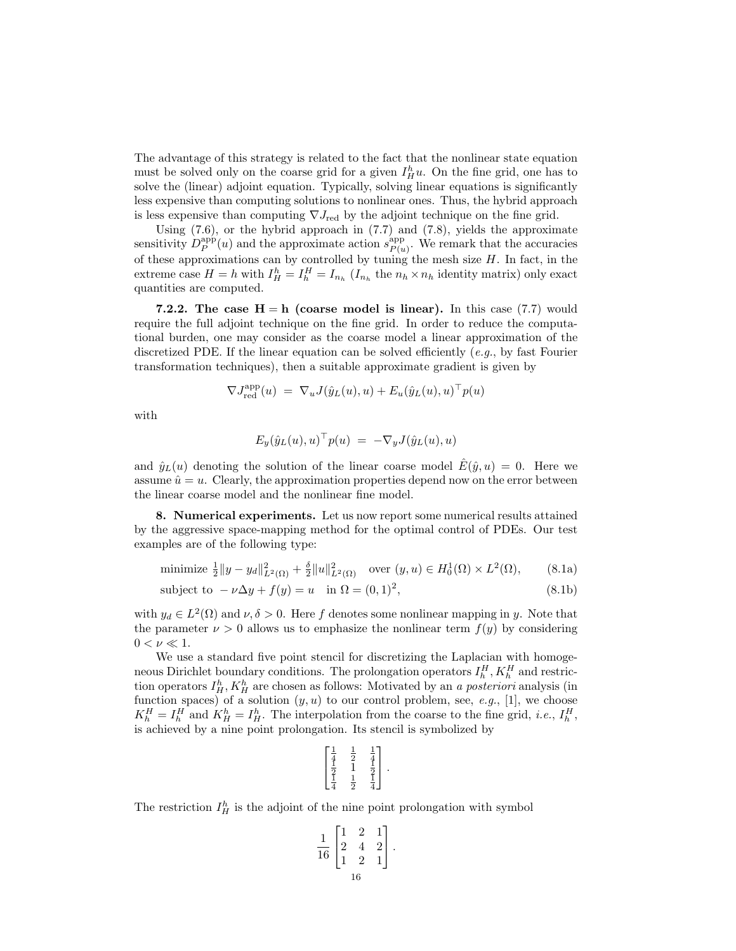The advantage of this strategy is related to the fact that the nonlinear state equation must be solved only on the coarse grid for a given  $I_H^h u$ . On the fine grid, one has to solve the (linear) adjoint equation. Typically, solving linear equations is significantly less expensive than computing solutions to nonlinear ones. Thus, the hybrid approach is less expensive than computing  $\nabla J_{\text{red}}$  by the adjoint technique on the fine grid.

Using  $(7.6)$ , or the hybrid approach in  $(7.7)$  and  $(7.8)$ , yields the approximate sensitivity  $D_P^{\text{app}}(u)$  and the approximate action  $s_{P(u)}^{\text{app}}$  $P_{(u)}^{\text{app}}$ . We remark that the accuracies of these approximations can by controlled by tuning the mesh size  $H$ . In fact, in the extreme case  $H = h$  with  $I_H^h = I_h^H = I_{n_h}$  ( $I_{n_h}$  the  $n_h \times n_h$  identity matrix) only exact quantities are computed.

7.2.2. The case  $H = h$  (coarse model is linear). In this case (7.7) would require the full adjoint technique on the fine grid. In order to reduce the computational burden, one may consider as the coarse model a linear approximation of the discretized PDE. If the linear equation can be solved efficiently  $(e.q.,)$  by fast Fourier transformation techniques), then a suitable approximate gradient is given by

$$
\nabla J^{\mathrm{app}}_{\mathrm{red}}(u) \; = \; \nabla_u J(\hat{y}_L(u),u) + E_u(\hat{y}_L(u),u)^\top p(u)
$$

with

$$
E_y(\hat{y}_L(u),u)^\top p(u) = -\nabla_y J(\hat{y}_L(u),u)
$$

and  $\hat{y}_L(u)$  denoting the solution of the linear coarse model  $\hat{E}(\hat{y}, u) = 0$ . Here we assume  $\hat{u} = u$ . Clearly, the approximation properties depend now on the error between the linear coarse model and the nonlinear fine model.

8. Numerical experiments. Let us now report some numerical results attained by the aggressive space-mapping method for the optimal control of PDEs. Our test examples are of the following type:

minimize  $\frac{1}{2}||y - y_d||^2_{L^2(\Omega)} + \frac{\delta}{2}||u||^2_{L^2(\Omega)}$  over  $(y, u) \in H_0^1(\Omega) \times L^2$  $(8.1a)$ 

subject to 
$$
-\nu \Delta y + f(y) = u
$$
 in  $\Omega = (0, 1)^2$ ,  $(8.1b)$ 

with  $y_d \in L^2(\Omega)$  and  $\nu, \delta > 0$ . Here f denotes some nonlinear mapping in y. Note that the parameter  $\nu > 0$  allows us to emphasize the nonlinear term  $f(y)$  by considering  $0 < \nu \ll 1$ .

We use a standard five point stencil for discretizing the Laplacian with homogeneous Dirichlet boundary conditions. The prolongation operators  $I_h^H$ ,  $K_h^H$  and restriction operators  $I_H^h$ ,  $K_H^h$  are chosen as follows: Motivated by an a posteriori analysis (in function spaces) of a solution  $(y, u)$  to our control problem, see, e.g., [1], we choose  $K_h^H = I_h^H$  and  $K_H^h = I_H^h$ . The interpolation from the coarse to the fine grid, *i.e.*,  $I_h^H$ , is achieved by a nine point prolongation. Its stencil is symbolized by

$$
\begin{bmatrix} \frac{1}{4} & \frac{1}{2} & \frac{1}{4} \\ \frac{1}{2} & 1 & \frac{1}{2} \\ \frac{1}{4} & \frac{1}{2} & \frac{1}{4} \end{bmatrix}.
$$

The restriction  $I_H^h$  is the adjoint of the nine point prolongation with symbol

$$
\frac{1}{16} \begin{bmatrix} 1 & 2 & 1 \\ 2 & 4 & 2 \\ 1 & 2 & 1 \end{bmatrix}.
$$
  

$$
\frac{1}{16}
$$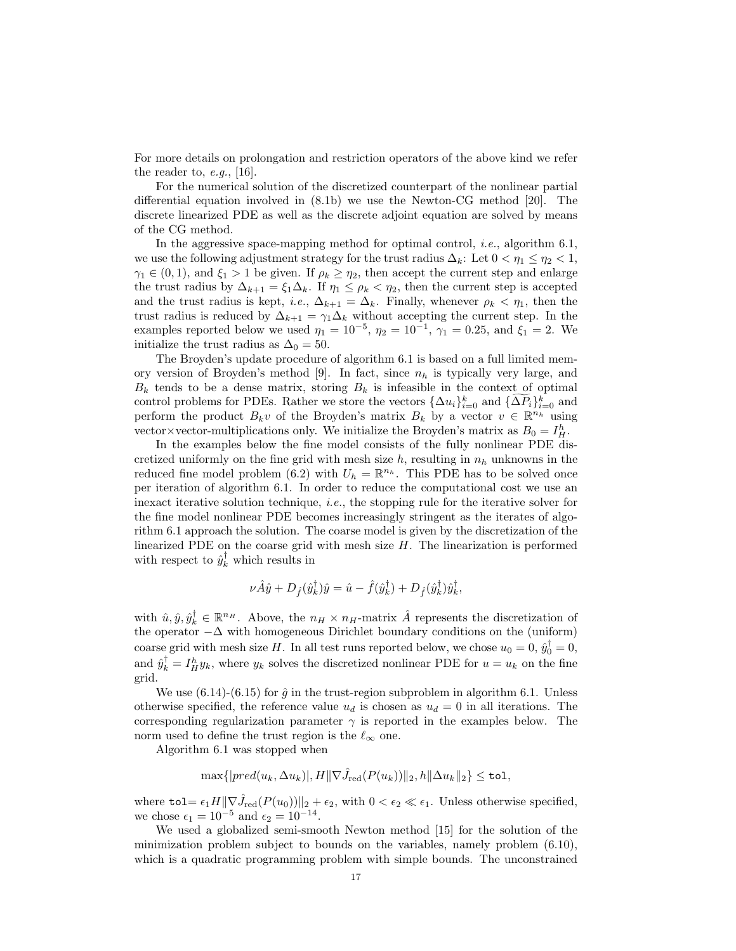For more details on prolongation and restriction operators of the above kind we refer the reader to,  $e.g.,$  [16].

For the numerical solution of the discretized counterpart of the nonlinear partial differential equation involved in (8.1b) we use the Newton-CG method [20]. The discrete linearized PDE as well as the discrete adjoint equation are solved by means of the CG method.

In the aggressive space-mapping method for optimal control, i.e., algorithm 6.1, we use the following adjustment strategy for the trust radius  $\Delta_k$ : Let  $0 < \eta_1 \leq \eta_2 < 1$ ,  $\gamma_1 \in (0, 1)$ , and  $\xi_1 > 1$  be given. If  $\rho_k \geq \eta_2$ , then accept the current step and enlarge the trust radius by  $\Delta_{k+1} = \xi_1 \Delta_k$ . If  $\eta_1 \le \rho_k < \eta_2$ , then the current step is accepted and the trust radius is kept, *i.e.*,  $\Delta_{k+1} = \Delta_k$ . Finally, whenever  $\rho_k < \eta_1$ , then the trust radius is reduced by  $\Delta_{k+1} = \gamma_1 \Delta_k$  without accepting the current step. In the examples reported below we used  $\eta_1 = 10^{-5}$ ,  $\eta_2 = 10^{-1}$ ,  $\gamma_1 = 0.25$ , and  $\xi_1 = 2$ . We initialize the trust radius as  $\Delta_0 = 50$ .

The Broyden's update procedure of algorithm 6.1 is based on a full limited memory version of Broyden's method [9]. In fact, since  $n_h$  is typically very large, and  $B_k$  tends to be a dense matrix, storing  $B_k$  is infeasible in the context of optimal control problems for PDEs. Rather we store the vectors  $\{\Delta u_i\}_{i=0}^k$  and  $\{\widetilde{\Delta P_i}\}_{i=0}^k$  and perform the product  $B_k v$  of the Broyden's matrix  $B_k$  by a vector  $v \in \mathbb{R}^{n_h}$  using vector×vector-multiplications only. We initialize the Broyden's matrix as  $B_0 = I_H^h$ .

In the examples below the fine model consists of the fully nonlinear PDE discretized uniformly on the fine grid with mesh size h, resulting in  $n_h$  unknowns in the reduced fine model problem (6.2) with  $U_h = \mathbb{R}^{n_h}$ . This PDE has to be solved once per iteration of algorithm 6.1. In order to reduce the computational cost we use an inexact iterative solution technique, *i.e.*, the stopping rule for the iterative solver for the fine model nonlinear PDE becomes increasingly stringent as the iterates of algorithm 6.1 approach the solution. The coarse model is given by the discretization of the linearized PDE on the coarse grid with mesh size  $H$ . The linearization is performed with respect to  $\hat{y}_k^{\dagger}$  which results in

$$
\nu \hat{A} \hat{y} + D_{\hat{f}}(\hat{y}_k^{\dagger}) \hat{y} = \hat{u} - \hat{f}(\hat{y}_k^{\dagger}) + D_{\hat{f}}(\hat{y}_k^{\dagger}) \hat{y}_k^{\dagger},
$$

with  $\hat{u}, \hat{y}, \hat{y}_k^{\dagger} \in \mathbb{R}^{n_H}$ . Above, the  $n_H \times n_H$ -matrix  $\hat{A}$  represents the discretization of the operator  $-\Delta$  with homogeneous Dirichlet boundary conditions on the (uniform) coarse grid with mesh size H. In all test runs reported below, we chose  $u_0 = 0$ ,  $\hat{y}_0^{\dagger} = 0$ , and  $\hat{y}_k^{\dagger} = I_H^h y_k$ , where  $y_k$  solves the discretized nonlinear PDE for  $u = u_k$  on the fine grid.

We use  $(6.14)-(6.15)$  for  $\hat{g}$  in the trust-region subproblem in algorithm 6.1. Unless otherwise specified, the reference value  $u_d$  is chosen as  $u_d = 0$  in all iterations. The corresponding regularization parameter  $\gamma$  is reported in the examples below. The norm used to define the trust region is the  $\ell_{\infty}$  one.

Algorithm 6.1 was stopped when

$$
\max\{|pred(u_k,\Delta u_k)|, H\|\nabla \hat{J}_{\text{red}}(P(u_k))\|_2, h\|\Delta u_k\|_2\} \leq \texttt{tol},
$$

where  $\texttt{tol} = \epsilon_1 H \|\nabla \hat{J}_{\text{red}}(P(u_0))\|_2 + \epsilon_2$ , with  $0 < \epsilon_2 \ll \epsilon_1$ . Unless otherwise specified, we chose  $\epsilon_1 = 10^{-5}$  and  $\epsilon_2 = 10^{-14}$ .

We used a globalized semi-smooth Newton method [15] for the solution of the minimization problem subject to bounds on the variables, namely problem (6.10), which is a quadratic programming problem with simple bounds. The unconstrained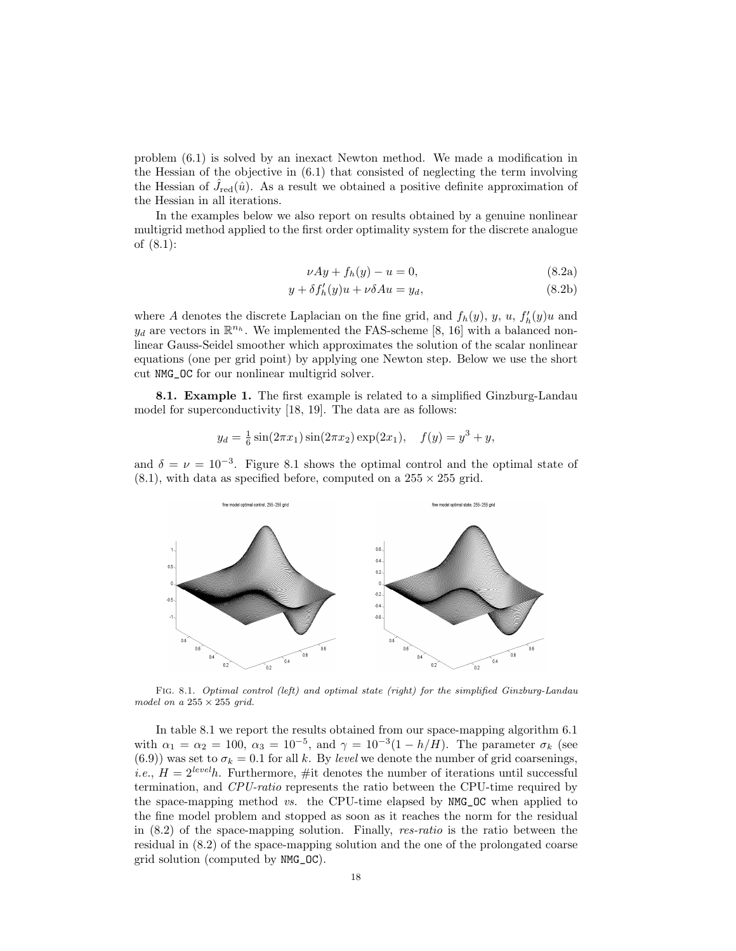problem (6.1) is solved by an inexact Newton method. We made a modification in the Hessian of the objective in (6.1) that consisted of neglecting the term involving the Hessian of  $\hat{J}_{\text{red}}(\hat{u})$ . As a result we obtained a positive definite approximation of the Hessian in all iterations.

In the examples below we also report on results obtained by a genuine nonlinear multigrid method applied to the first order optimality system for the discrete analogue of (8.1):

$$
\nu A y + f_h(y) - u = 0,\tag{8.2a}
$$

$$
y + \delta f'_h(y)u + \nu \delta Au = y_d,
$$
\n(8.2b)

where A denotes the discrete Laplacian on the fine grid, and  $f_h(y)$ , y, u,  $f'_h(y)u$  and  $y_d$  are vectors in  $\mathbb{R}^{n_h}$ . We implemented the FAS-scheme [8, 16] with a balanced nonlinear Gauss-Seidel smoother which approximates the solution of the scalar nonlinear equations (one per grid point) by applying one Newton step. Below we use the short cut NMG\_OC for our nonlinear multigrid solver.

8.1. Example 1. The first example is related to a simplified Ginzburg-Landau model for superconductivity [18, 19]. The data are as follows:

$$
y_d = \frac{1}{6}\sin(2\pi x_1)\sin(2\pi x_2)\exp(2x_1), \quad f(y) = y^3 + y,
$$

and  $\delta = \nu = 10^{-3}$ . Figure 8.1 shows the optimal control and the optimal state of  $(8.1)$ , with data as specified before, computed on a  $255 \times 255$  grid.



Fig. 8.1. Optimal control (left) and optimal state (right) for the simplified Ginzburg-Landau model on a  $255 \times 255$  grid.

In table 8.1 we report the results obtained from our space-mapping algorithm 6.1 with  $\alpha_1 = \alpha_2 = 100$ ,  $\alpha_3 = 10^{-5}$ , and  $\gamma = 10^{-3}(1 - h/H)$ . The parameter  $\sigma_k$  (see (6.9)) was set to  $\sigma_k = 0.1$  for all k. By level we denote the number of grid coarsenings, *i.e.*,  $H = 2^{level}h$ . Furthermore, #it denotes the number of iterations until successful termination, and CPU-ratio represents the ratio between the CPU-time required by the space-mapping method vs. the CPU-time elapsed by NMG\_OC when applied to the fine model problem and stopped as soon as it reaches the norm for the residual in (8.2) of the space-mapping solution. Finally, res-ratio is the ratio between the residual in (8.2) of the space-mapping solution and the one of the prolongated coarse grid solution (computed by NMG\_OC).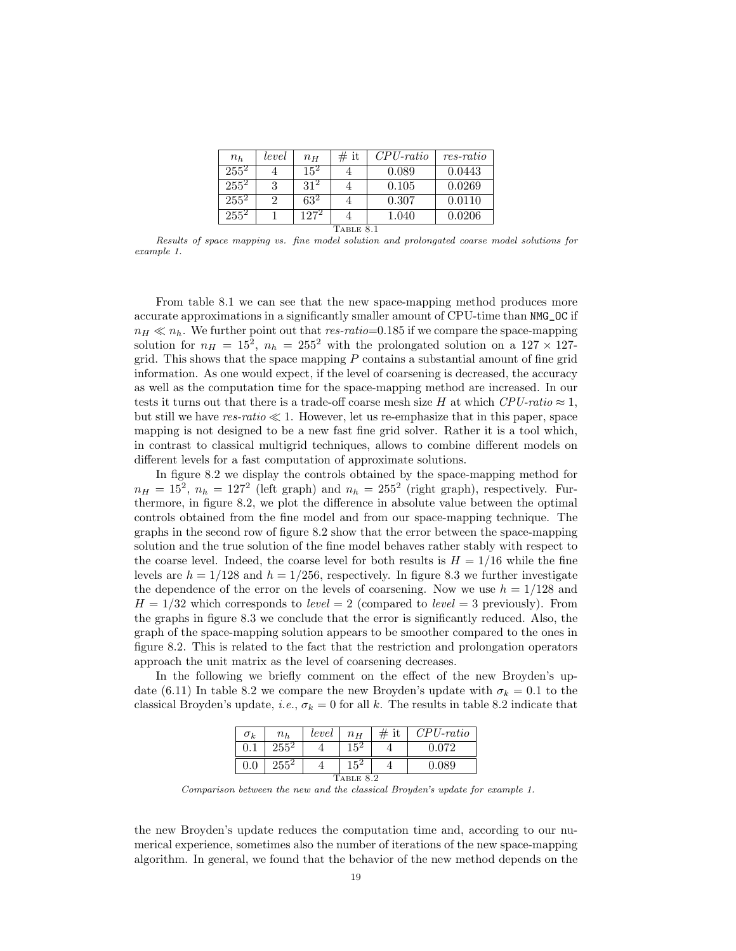| $n_h$              | level    | $n_H$           | # it | $CPU\text{-}ratio$ | $res-ratio$ |  |  |  |
|--------------------|----------|-----------------|------|--------------------|-------------|--|--|--|
| $255^2$            |          | $15^{2}$        |      | 0.089              | 0.0443      |  |  |  |
| $255^2$            | 3        | 31 <sup>2</sup> |      | 0.105              | 0.0269      |  |  |  |
| $25\overline{5}^2$ | $\Omega$ | $63^2$          |      | 0.307              | 0.0110      |  |  |  |
| $255^2$            |          | $127^2$         |      | 1.040              | 0.0206      |  |  |  |
| TABLE 8.1          |          |                 |      |                    |             |  |  |  |

Results of space mapping vs. fine model solution and prolongated coarse model solutions for example 1.

From table 8.1 we can see that the new space-mapping method produces more accurate approximations in a significantly smaller amount of CPU-time than NMG\_OC if  $n_H \ll n_h$ . We further point out that res-ratio=0.185 if we compare the space-mapping solution for  $n_H = 15^2$ ,  $n_h = 255^2$  with the prolongated solution on a 127  $\times$  127grid. This shows that the space mapping  $P$  contains a substantial amount of fine grid information. As one would expect, if the level of coarsening is decreased, the accuracy as well as the computation time for the space-mapping method are increased. In our tests it turns out that there is a trade-off coarse mesh size H at which  $CPU$ -ratio  $\approx 1$ , but still we have  $res-ratio \ll 1$ . However, let us re-emphasize that in this paper, space mapping is not designed to be a new fast fine grid solver. Rather it is a tool which, in contrast to classical multigrid techniques, allows to combine different models on different levels for a fast computation of approximate solutions.

In figure 8.2 we display the controls obtained by the space-mapping method for  $n_H = 15^2$ ,  $n_h = 127^2$  (left graph) and  $n_h = 255^2$  (right graph), respectively. Furthermore, in figure 8.2, we plot the difference in absolute value between the optimal controls obtained from the fine model and from our space-mapping technique. The graphs in the second row of figure 8.2 show that the error between the space-mapping solution and the true solution of the fine model behaves rather stably with respect to the coarse level. Indeed, the coarse level for both results is  $H = 1/16$  while the fine levels are  $h = 1/128$  and  $h = 1/256$ , respectively. In figure 8.3 we further investigate the dependence of the error on the levels of coarsening. Now we use  $h = 1/128$  and  $H = 1/32$  which corresponds to *level*  $= 2$  (compared to *level*  $= 3$  previously). From the graphs in figure 8.3 we conclude that the error is significantly reduced. Also, the graph of the space-mapping solution appears to be smoother compared to the ones in figure 8.2. This is related to the fact that the restriction and prolongation operators approach the unit matrix as the level of coarsening decreases.

In the following we briefly comment on the effect of the new Broyden's update (6.11) In table 8.2 we compare the new Broyden's update with  $\sigma_k = 0.1$  to the classical Broyden's update, i.e.,  $\sigma_k = 0$  for all k. The results in table 8.2 indicate that

| $\sigma_k$ | $n_h$   | level | $n_H$  | it | $CPU\text{-}ratio$ |  |  |  |
|------------|---------|-------|--------|----|--------------------|--|--|--|
|            | $255^2$ |       |        |    | በ በ72              |  |  |  |
| $0.0\,$    | $255^2$ |       | $15^2$ |    | .089               |  |  |  |
| TABLE 8.2  |         |       |        |    |                    |  |  |  |

Comparison between the new and the classical Broyden's update for example 1.

the new Broyden's update reduces the computation time and, according to our numerical experience, sometimes also the number of iterations of the new space-mapping algorithm. In general, we found that the behavior of the new method depends on the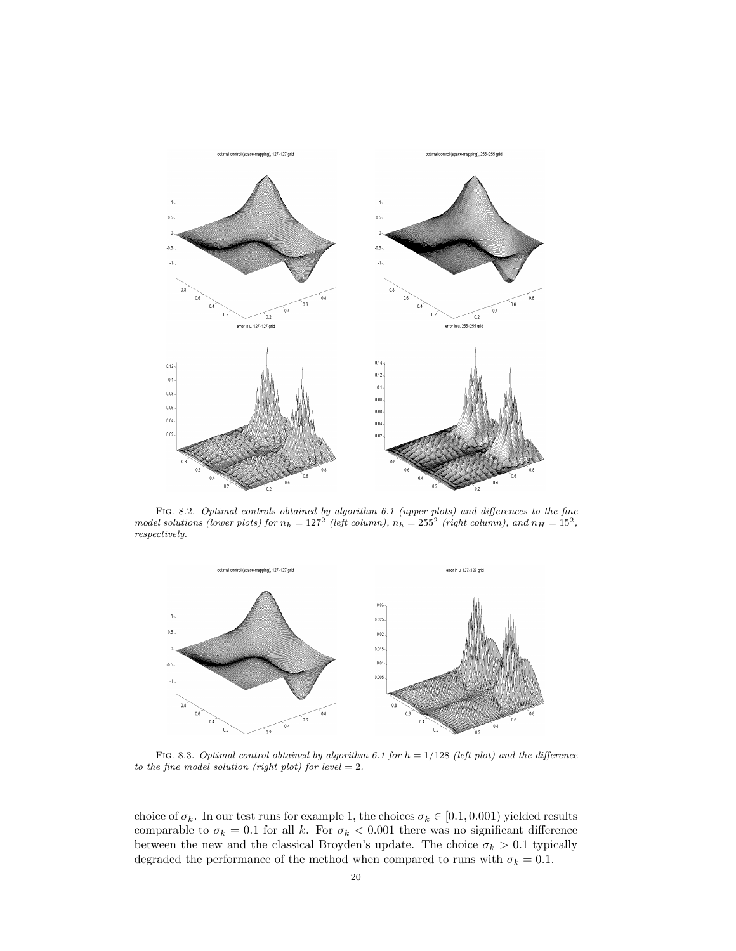

FIG. 8.2. Optimal controls obtained by algorithm 6.1 (upper plots) and differences to the fine model solutions (lower plots) for  $n_h = 127^2$  (left column),  $n_h = 255^2$  (right column), and  $n_H = 15^2$ , respectively.



FIG. 8.3. Optimal control obtained by algorithm 6.1 for  $h = 1/128$  (left plot) and the difference to the fine model solution (right plot) for level  $= 2$ .

choice of  $\sigma_k$ . In our test runs for example 1, the choices  $\sigma_k \in [0.1, 0.001)$  yielded results comparable to  $\sigma_k = 0.1$  for all k. For  $\sigma_k < 0.001$  there was no significant difference between the new and the classical Broyden's update. The choice  $\sigma_k > 0.1$  typically degraded the performance of the method when compared to runs with  $\sigma_k = 0.1$ .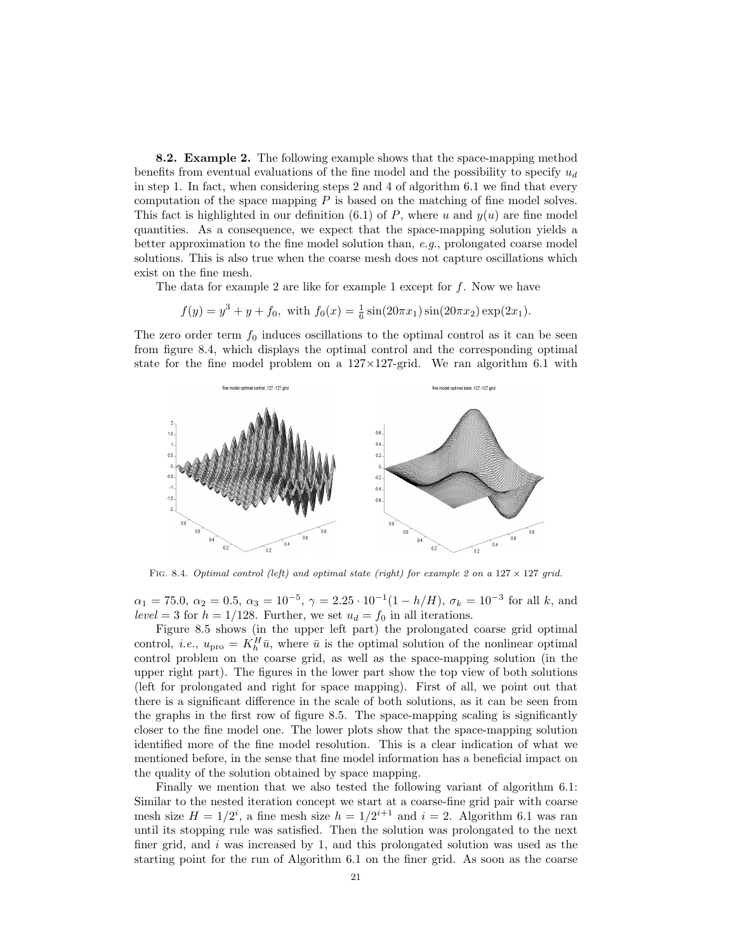8.2. Example 2. The following example shows that the space-mapping method benefits from eventual evaluations of the fine model and the possibility to specify  $u_d$ in step 1. In fact, when considering steps 2 and 4 of algorithm 6.1 we find that every computation of the space mapping  $P$  is based on the matching of fine model solves. This fact is highlighted in our definition (6.1) of P, where u and  $y(u)$  are fine model quantities. As a consequence, we expect that the space-mapping solution yields a better approximation to the fine model solution than,  $e.g.,$  prolongated coarse model solutions. This is also true when the coarse mesh does not capture oscillations which exist on the fine mesh.

The data for example 2 are like for example 1 except for f. Now we have

$$
f(y) = y^3 + y + f_0
$$
, with  $f_0(x) = \frac{1}{6} \sin(20\pi x_1) \sin(20\pi x_2) \exp(2x_1)$ .

The zero order term  $f_0$  induces oscillations to the optimal control as it can be seen from figure 8.4, which displays the optimal control and the corresponding optimal state for the fine model problem on a  $127 \times 127$ -grid. We ran algorithm 6.1 with



FIG. 8.4. Optimal control (left) and optimal state (right) for example 2 on a  $127 \times 127$  grid.

 $\alpha_1 = 75.0, \ \alpha_2 = 0.5, \ \alpha_3 = 10^{-5}, \ \gamma = 2.25 \cdot 10^{-1} (1 - h/H), \ \sigma_k = 10^{-3}$  for all k, and level = 3 for  $h = 1/128$ . Further, we set  $u_d = f_0$  in all iterations.

Figure 8.5 shows (in the upper left part) the prolongated coarse grid optimal control, *i.e.*,  $u_{\text{pro}} = K_h^H \bar{u}$ , where  $\bar{u}$  is the optimal solution of the nonlinear optimal control problem on the coarse grid, as well as the space-mapping solution (in the upper right part). The figures in the lower part show the top view of both solutions (left for prolongated and right for space mapping). First of all, we point out that there is a significant difference in the scale of both solutions, as it can be seen from the graphs in the first row of figure 8.5. The space-mapping scaling is significantly closer to the fine model one. The lower plots show that the space-mapping solution identified more of the fine model resolution. This is a clear indication of what we mentioned before, in the sense that fine model information has a beneficial impact on the quality of the solution obtained by space mapping.

Finally we mention that we also tested the following variant of algorithm 6.1: Similar to the nested iteration concept we start at a coarse-fine grid pair with coarse mesh size  $H = 1/2^{i}$ , a fine mesh size  $h = 1/2^{i+1}$  and  $i = 2$ . Algorithm 6.1 was ran until its stopping rule was satisfied. Then the solution was prolongated to the next finer grid, and  $i$  was increased by 1, and this prolongated solution was used as the starting point for the run of Algorithm 6.1 on the finer grid. As soon as the coarse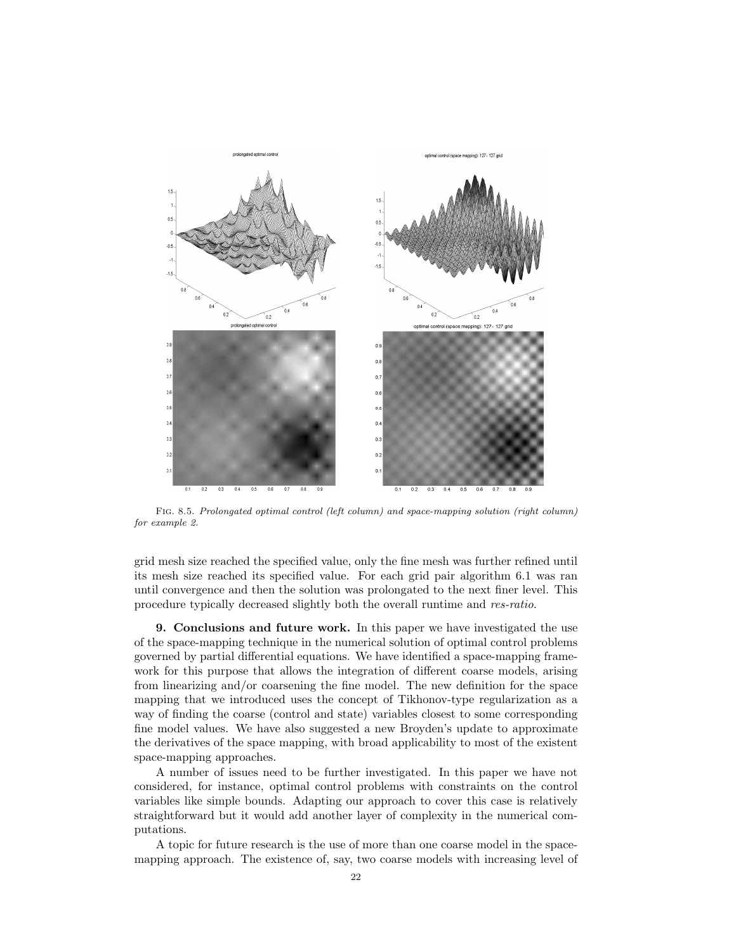

Fig. 8.5. Prolongated optimal control (left column) and space-mapping solution (right column) for example 2.

grid mesh size reached the specified value, only the fine mesh was further refined until its mesh size reached its specified value. For each grid pair algorithm 6.1 was ran until convergence and then the solution was prolongated to the next finer level. This procedure typically decreased slightly both the overall runtime and res-ratio.

9. Conclusions and future work. In this paper we have investigated the use of the space-mapping technique in the numerical solution of optimal control problems governed by partial differential equations. We have identified a space-mapping framework for this purpose that allows the integration of different coarse models, arising from linearizing and/or coarsening the fine model. The new definition for the space mapping that we introduced uses the concept of Tikhonov-type regularization as a way of finding the coarse (control and state) variables closest to some corresponding fine model values. We have also suggested a new Broyden's update to approximate the derivatives of the space mapping, with broad applicability to most of the existent space-mapping approaches.

A number of issues need to be further investigated. In this paper we have not considered, for instance, optimal control problems with constraints on the control variables like simple bounds. Adapting our approach to cover this case is relatively straightforward but it would add another layer of complexity in the numerical computations.

A topic for future research is the use of more than one coarse model in the spacemapping approach. The existence of, say, two coarse models with increasing level of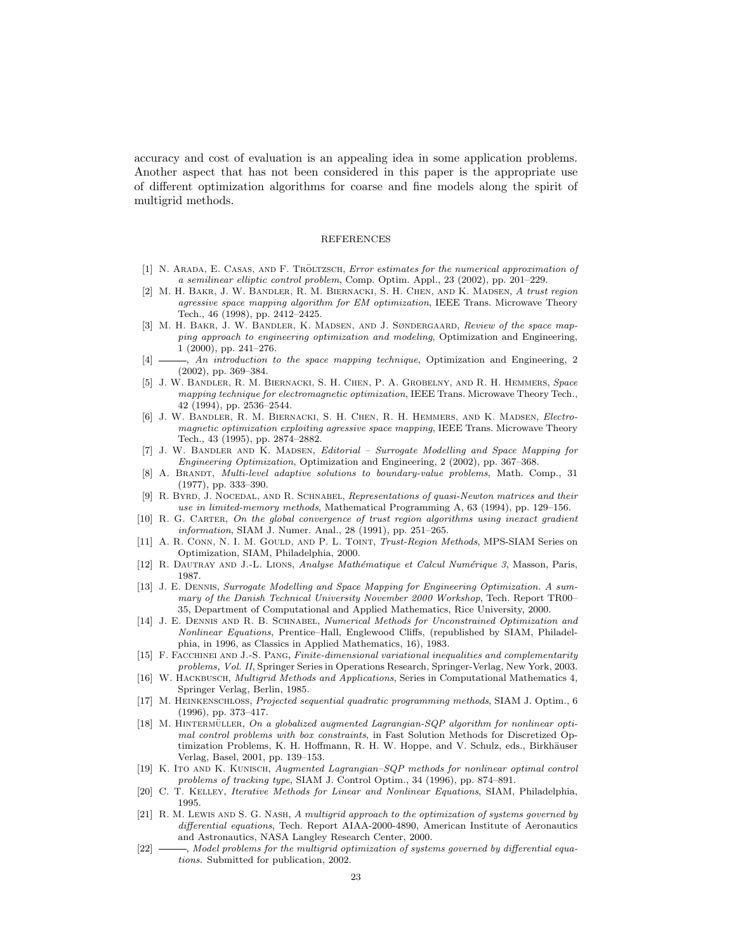accuracy and cost of evaluation is an appealing idea in some application problems. Another aspect that has not been considered in this paper is the appropriate use of different optimization algorithms for coarse and fine models along the spirit of multigrid methods.

#### REFERENCES

- [1] N. ARADA, E. CASAS, AND F. TRÖLTZSCH, *Error estimates for the numerical approximation of* a semilinear elliptic control problem, Comp. Optim. Appl., 23 (2002), pp. 201–229.
- [2] M. H. Bakr, J. W. Bandler, R. M. Biernacki, S. H. Chen, and K. Madsen, A trust region agressive space mapping algorithm for EM optimization, IEEE Trans. Microwave Theory Tech., 46 (1998), pp. 2412–2425.
- [3] M. H. BAKR, J. W. BANDLER, K. MADSEN, AND J. SØNDERGAARD, Review of the space mapping approach to engineering optimization and modeling, Optimization and Engineering, 1 (2000), pp. 241–276.
- [4]  $\longrightarrow$ , An introduction to the space mapping technique, Optimization and Engineering, 2 (2002), pp. 369–384.
- [5] J. W. Bandler, R. M. Biernacki, S. H. Chen, P. A. Grobelny, and R. H. Hemmers, Space mapping technique for electromagnetic optimization, IEEE Trans. Microwave Theory Tech., 42 (1994), pp. 2536–2544.
- [6] J. W. Bandler, R. M. Biernacki, S. H. Chen, R. H. Hemmers, and K. Madsen, Electromagnetic optimization exploiting agressive space mapping, IEEE Trans. Microwave Theory Tech., 43 (1995), pp. 2874–2882.
- [7] J. W. BANDLER AND K. MADSEN, *Editorial Surrogate Modelling and Space Mapping for* Engineering Optimization, Optimization and Engineering, 2 (2002), pp. 367–368.
- [8] A. BRANDT, Multi-level adaptive solutions to boundary-value problems, Math. Comp., 31 (1977), pp. 333–390.
- [9] R. BYRD, J. NOCEDAL, AND R. SCHNABEL, Representations of quasi-Newton matrices and their use in limited-memory methods, Mathematical Programming A, 63 (1994), pp. 129–156.
- [10] R. G. Carter, On the global convergence of trust region algorithms using inexact gradient information, SIAM J. Numer. Anal., 28 (1991), pp. 251–265.
- [11] A. R. CONN, N. I. M. GOULD, AND P. L. TOINT, *Trust-Region Methods*, MPS-SIAM Series on Optimization, SIAM, Philadelphia, 2000.
- [12] R. DAUTRAY AND J.-L. LIONS, Analyse Mathématique et Calcul Numérique 3, Masson, Paris, 1987.
- [13] J. E. DENNIS, Surrogate Modelling and Space Mapping for Engineering Optimization. A summary of the Danish Technical University November 2000 Workshop, Tech. Report TR00– 35, Department of Computational and Applied Mathematics, Rice University, 2000.
- [14] J. E. DENNIS AND R. B. SCHNABEL, Numerical Methods for Unconstrained Optimization and Nonlinear Equations, Prentice–Hall, Englewood Cliffs, (republished by SIAM, Philadelphia, in 1996, as Classics in Applied Mathematics, 16), 1983.
- [15] F. Facchinei and J.-S. Pang, Finite-dimensional variational inequalities and complementarity problems, Vol. II, Springer Series in Operations Research, Springer-Verlag, New York, 2003.
- [16] W. HACKBUSCH, Multigrid Methods and Applications, Series in Computational Mathematics 4, Springer Verlag, Berlin, 1985.
- [17] M. Heinkenschloss, Projected sequential quadratic programming methods, SIAM J. Optim., 6 (1996), pp. 373–417.
- [18] M. HINTERMÜLLER, On a globalized augmented Lagrangian-SQP algorithm for nonlinear optimal control problems with box constraints, in Fast Solution Methods for Discretized Optimization Problems, K. H. Hoffmann, R. H. W. Hoppe, and V. Schulz, eds., Birkhäuser Verlag, Basel, 2001, pp. 139–153.
- [19] K. Ito and K. Kunisch, Augmented Lagrangian–SQP methods for nonlinear optimal control problems of tracking type, SIAM J. Control Optim., 34 (1996), pp. 874–891.
- [20] C. T. Kelley, Iterative Methods for Linear and Nonlinear Equations, SIAM, Philadelphia, 1995.
- [21] R. M. LEWIS AND S. G. NASH, A multigrid approach to the optimization of systems governed by differential equations, Tech. Report AIAA-2000-4890, American Institute of Aeronautics and Astronautics, NASA Langley Research Center, 2000.
- [22] , Model problems for the multigrid optimization of systems governed by differential equations. Submitted for publication, 2002.